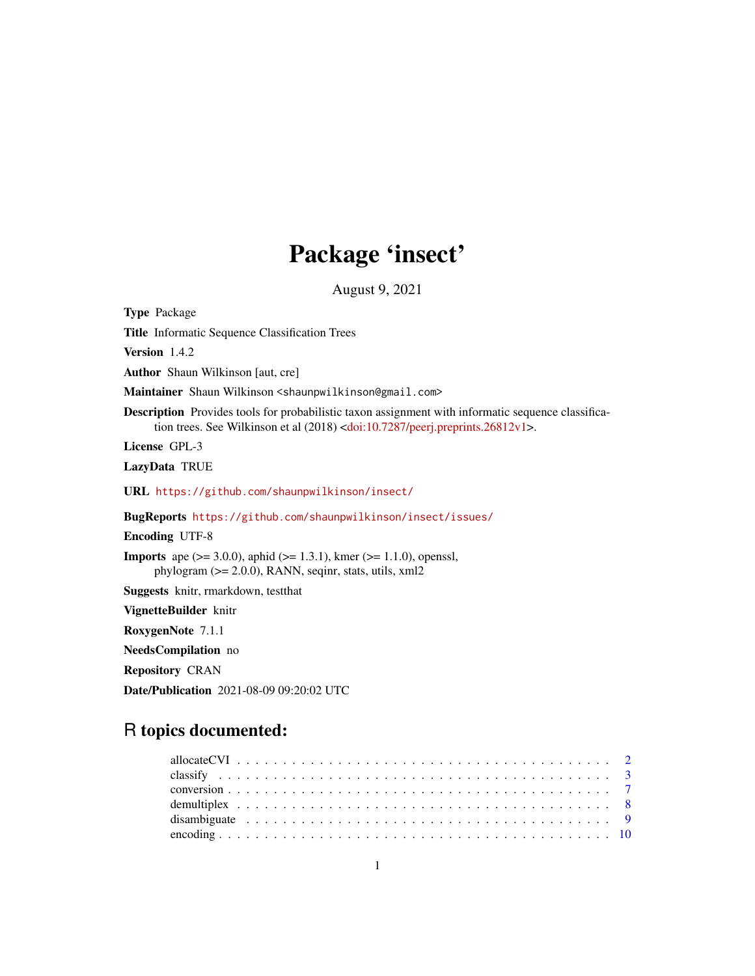# Package 'insect'

August 9, 2021

<span id="page-0-0"></span>Type Package Title Informatic Sequence Classification Trees Version 1.4.2 Author Shaun Wilkinson [aut, cre] Maintainer Shaun Wilkinson <shaunpwilkinson@gmail.com> Description Provides tools for probabilistic taxon assignment with informatic sequence classifica-tion trees. See Wilkinson et al (2018) [<doi:10.7287/peerj.preprints.26812v1>](https://doi.org/10.7287/peerj.preprints.26812v1). License GPL-3 LazyData TRUE URL <https://github.com/shaunpwilkinson/insect/> BugReports <https://github.com/shaunpwilkinson/insect/issues/> Encoding UTF-8 **Imports** ape ( $> = 3.0.0$ ), aphid ( $> = 1.3.1$ ), kmer ( $> = 1.1.0$ ), openssl, phylogram (>= 2.0.0), RANN, seqinr, stats, utils, xml2 Suggests knitr, rmarkdown, testthat VignetteBuilder knitr RoxygenNote 7.1.1 NeedsCompilation no Repository CRAN Date/Publication 2021-08-09 09:20:02 UTC

# R topics documented: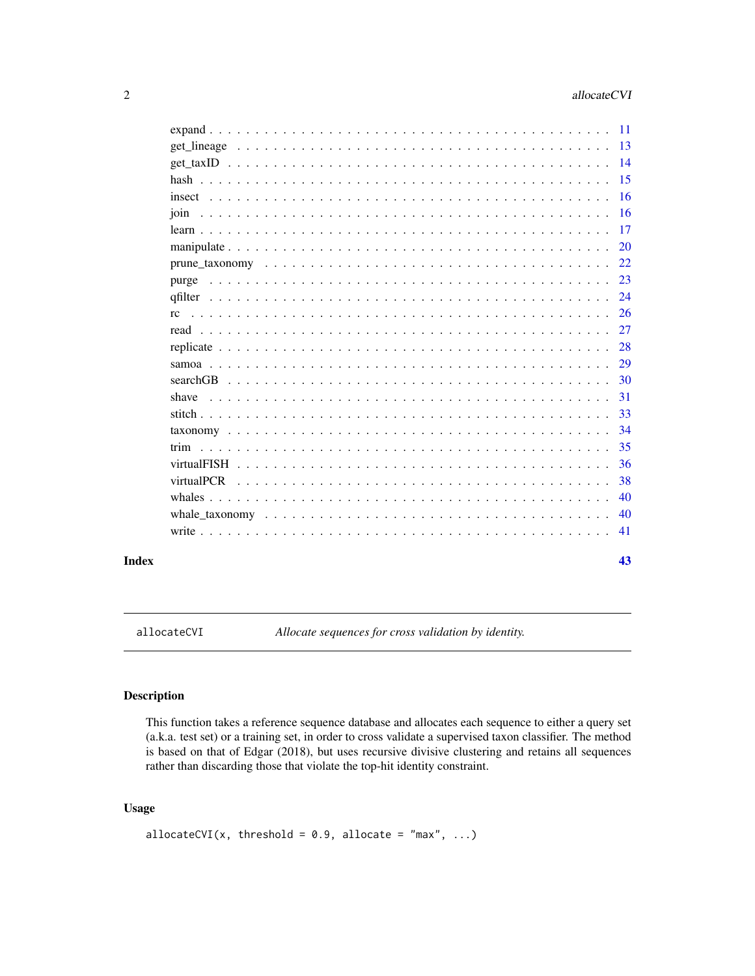<span id="page-1-0"></span>

| purge<br>afilter<br>rc.<br>shave              |  |  |  |  |  | 43  |
|-----------------------------------------------|--|--|--|--|--|-----|
|                                               |  |  |  |  |  | -41 |
| 24<br>29<br>30<br>31<br>35<br>-36<br>38<br>40 |  |  |  |  |  | 40  |
|                                               |  |  |  |  |  |     |
|                                               |  |  |  |  |  |     |
|                                               |  |  |  |  |  |     |
|                                               |  |  |  |  |  |     |
|                                               |  |  |  |  |  |     |
|                                               |  |  |  |  |  |     |
|                                               |  |  |  |  |  |     |
|                                               |  |  |  |  |  |     |
|                                               |  |  |  |  |  |     |
|                                               |  |  |  |  |  |     |
|                                               |  |  |  |  |  |     |
|                                               |  |  |  |  |  |     |
|                                               |  |  |  |  |  |     |
|                                               |  |  |  |  |  |     |
|                                               |  |  |  |  |  |     |
|                                               |  |  |  |  |  |     |
|                                               |  |  |  |  |  |     |
|                                               |  |  |  |  |  |     |
|                                               |  |  |  |  |  |     |
|                                               |  |  |  |  |  |     |
|                                               |  |  |  |  |  |     |
|                                               |  |  |  |  |  |     |

allocateCVI *Allocate sequences for cross validation by identity.*

# Description

This function takes a reference sequence database and allocates each sequence to either a query set (a.k.a. test set) or a training set, in order to cross validate a supervised taxon classifier. The method is based on that of Edgar (2018), but uses recursive divisive clustering and retains all sequences rather than discarding those that violate the top-hit identity constraint.

# Usage

```
allocateCVI(x, threshold = 0.9, allocate = "max", ...)
```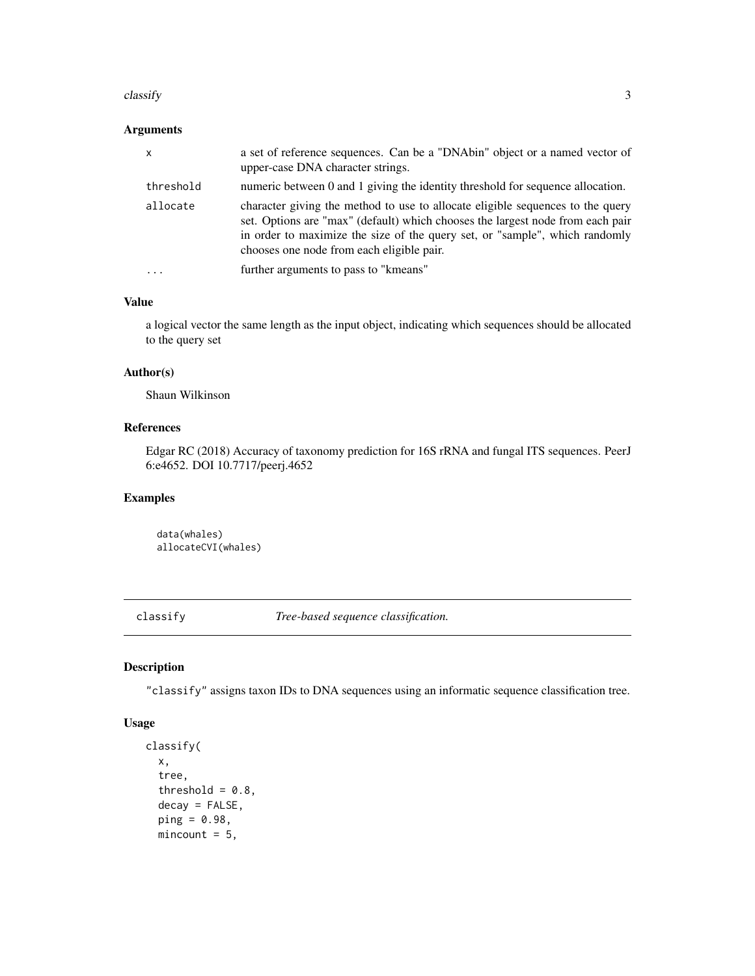#### <span id="page-2-0"></span> $\alpha$  classify  $\beta$

# Arguments

| threshold<br>allocate<br>chooses one node from each eligible pair.<br>$\cdot$ $\cdot$ $\cdot$ | $\mathsf{x}$ | a set of reference sequences. Can be a "DNAbin" object or a named vector of<br>upper-case DNA character strings.                                                                                                                                |
|-----------------------------------------------------------------------------------------------|--------------|-------------------------------------------------------------------------------------------------------------------------------------------------------------------------------------------------------------------------------------------------|
|                                                                                               |              | numeric between 0 and 1 giving the identity threshold for sequence allocation.                                                                                                                                                                  |
|                                                                                               |              | character giving the method to use to allocate eligible sequences to the query<br>set. Options are "max" (default) which chooses the largest node from each pair<br>in order to maximize the size of the query set, or "sample", which randomly |
|                                                                                               |              | further arguments to pass to "kmeans"                                                                                                                                                                                                           |

#### Value

a logical vector the same length as the input object, indicating which sequences should be allocated to the query set

# Author(s)

Shaun Wilkinson

# References

Edgar RC (2018) Accuracy of taxonomy prediction for 16S rRNA and fungal ITS sequences. PeerJ 6:e4652. DOI 10.7717/peerj.4652

#### Examples

data(whales) allocateCVI(whales)

classify *Tree-based sequence classification.*

# Description

"classify" assigns taxon IDs to DNA sequences using an informatic sequence classification tree.

#### Usage

```
classify(
  x,
  tree,
  threshold = 0.8,
  decay = FALSE,
  ping = 0.98,
 mincount = 5,
```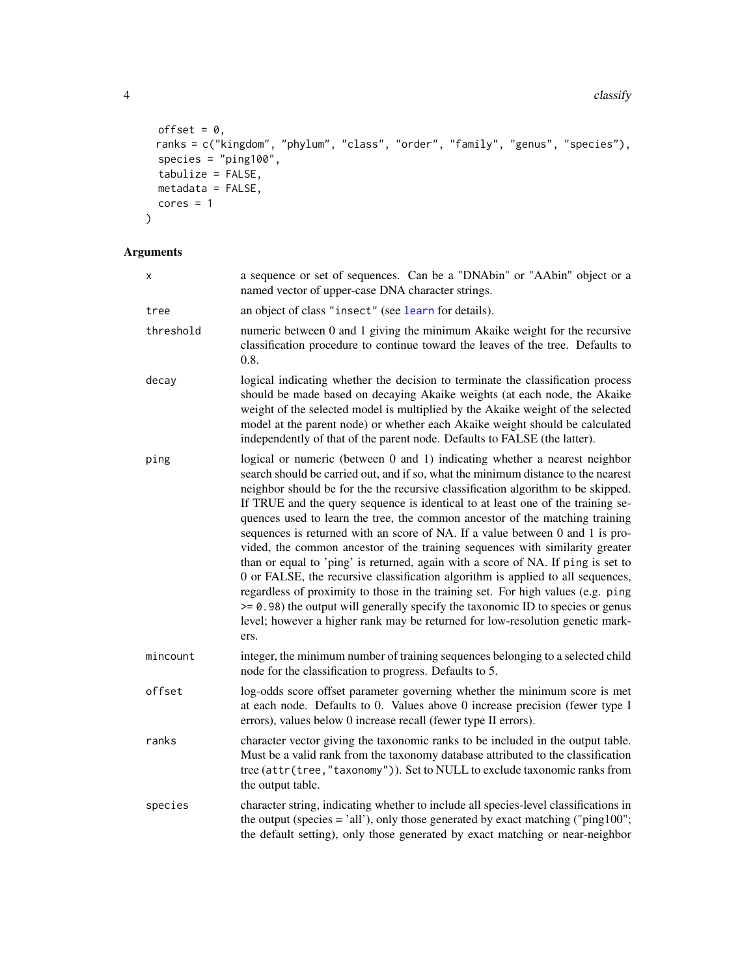```
4 classify and \frac{1}{2} classify and \frac{1}{2} classify and \frac{1}{2} classify and \frac{1}{2} classify and \frac{1}{2} classify and \frac{1}{2} classify and \frac{1}{2} classify and \frac{1}{2} classify and \frac{1}{2} classify and
```

```
offset = 0,
 ranks = c("kingdom", "phylum", "class", "order", "family", "genus", "species"),
 species = "ping100",tabulize = FALSE,
 metadata = FALSE,cores = 1\mathcal{L}
```
# Arguments

| x         | a sequence or set of sequences. Can be a "DNAbin" or "AAbin" object or a<br>named vector of upper-case DNA character strings.                                                                                                                                                                                                                                                                                                                                                                                                                                                                                                                                                                                                                                                                                                                                                                                                                                                                                                  |
|-----------|--------------------------------------------------------------------------------------------------------------------------------------------------------------------------------------------------------------------------------------------------------------------------------------------------------------------------------------------------------------------------------------------------------------------------------------------------------------------------------------------------------------------------------------------------------------------------------------------------------------------------------------------------------------------------------------------------------------------------------------------------------------------------------------------------------------------------------------------------------------------------------------------------------------------------------------------------------------------------------------------------------------------------------|
| tree      | an object of class "insect" (see learn for details).                                                                                                                                                                                                                                                                                                                                                                                                                                                                                                                                                                                                                                                                                                                                                                                                                                                                                                                                                                           |
| threshold | numeric between 0 and 1 giving the minimum Akaike weight for the recursive<br>classification procedure to continue toward the leaves of the tree. Defaults to<br>0.8.                                                                                                                                                                                                                                                                                                                                                                                                                                                                                                                                                                                                                                                                                                                                                                                                                                                          |
| decay     | logical indicating whether the decision to terminate the classification process<br>should be made based on decaying Akaike weights (at each node, the Akaike<br>weight of the selected model is multiplied by the Akaike weight of the selected<br>model at the parent node) or whether each Akaike weight should be calculated<br>independently of that of the parent node. Defaults to FALSE (the latter).                                                                                                                                                                                                                                                                                                                                                                                                                                                                                                                                                                                                                   |
| ping      | logical or numeric (between 0 and 1) indicating whether a nearest neighbor<br>search should be carried out, and if so, what the minimum distance to the nearest<br>neighbor should be for the the recursive classification algorithm to be skipped.<br>If TRUE and the query sequence is identical to at least one of the training se-<br>quences used to learn the tree, the common ancestor of the matching training<br>sequences is returned with an score of NA. If a value between 0 and 1 is pro-<br>vided, the common ancestor of the training sequences with similarity greater<br>than or equal to 'ping' is returned, again with a score of NA. If ping is set to<br>0 or FALSE, the recursive classification algorithm is applied to all sequences,<br>regardless of proximity to those in the training set. For high values (e.g. ping<br>>= 0.98) the output will generally specify the taxonomic ID to species or genus<br>level; however a higher rank may be returned for low-resolution genetic mark-<br>ers. |
| mincount  | integer, the minimum number of training sequences belonging to a selected child<br>node for the classification to progress. Defaults to 5.                                                                                                                                                                                                                                                                                                                                                                                                                                                                                                                                                                                                                                                                                                                                                                                                                                                                                     |
| offset    | log-odds score offset parameter governing whether the minimum score is met<br>at each node. Defaults to 0. Values above 0 increase precision (fewer type I<br>errors), values below 0 increase recall (fewer type II errors).                                                                                                                                                                                                                                                                                                                                                                                                                                                                                                                                                                                                                                                                                                                                                                                                  |
| ranks     | character vector giving the taxonomic ranks to be included in the output table.<br>Must be a valid rank from the taxonomy database attributed to the classification<br>tree (attr(tree,"taxonomy")). Set to NULL to exclude taxonomic ranks from<br>the output table.                                                                                                                                                                                                                                                                                                                                                                                                                                                                                                                                                                                                                                                                                                                                                          |
| species   | character string, indicating whether to include all species-level classifications in<br>the output (species $=$ 'all'), only those generated by exact matching ("ping100";<br>the default setting), only those generated by exact matching or near-neighbor                                                                                                                                                                                                                                                                                                                                                                                                                                                                                                                                                                                                                                                                                                                                                                    |

<span id="page-3-0"></span>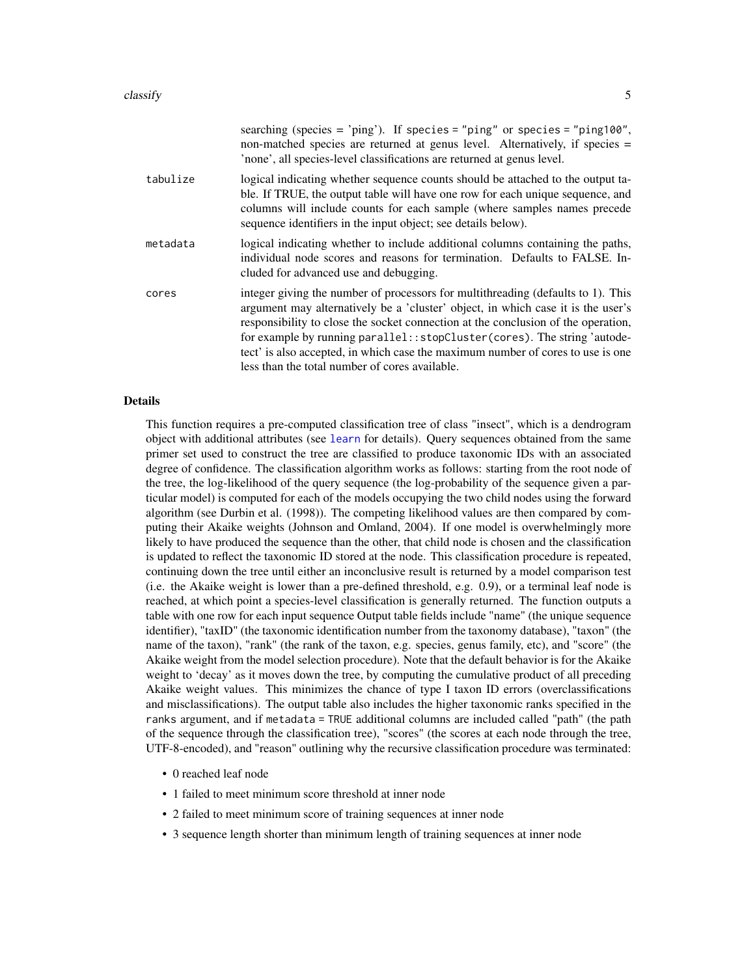|          | searching (species = 'ping'). If species = "ping" or species = "ping100",<br>non-matched species are returned at genus level. Alternatively, if species =<br>'none', all species-level classifications are returned at genus level.                                                                                                                                                                                                                                          |
|----------|------------------------------------------------------------------------------------------------------------------------------------------------------------------------------------------------------------------------------------------------------------------------------------------------------------------------------------------------------------------------------------------------------------------------------------------------------------------------------|
| tabulize | logical indicating whether sequence counts should be attached to the output ta-<br>ble. If TRUE, the output table will have one row for each unique sequence, and<br>columns will include counts for each sample (where samples names precede<br>sequence identifiers in the input object; see details below).                                                                                                                                                               |
| metadata | logical indicating whether to include additional columns containing the paths,<br>individual node scores and reasons for termination. Defaults to FALSE. In-<br>cluded for advanced use and debugging.                                                                                                                                                                                                                                                                       |
| cores    | integer giving the number of processors for multithreading (defaults to 1). This<br>argument may alternatively be a 'cluster' object, in which case it is the user's<br>responsibility to close the socket connection at the conclusion of the operation,<br>for example by running parallel:: stopCluster (cores). The string 'autode-<br>tect' is also accepted, in which case the maximum number of cores to use is one<br>less than the total number of cores available. |

#### Details

This function requires a pre-computed classification tree of class "insect", which is a dendrogram object with additional attributes (see [learn](#page-16-1) for details). Query sequences obtained from the same primer set used to construct the tree are classified to produce taxonomic IDs with an associated degree of confidence. The classification algorithm works as follows: starting from the root node of the tree, the log-likelihood of the query sequence (the log-probability of the sequence given a particular model) is computed for each of the models occupying the two child nodes using the forward algorithm (see Durbin et al. (1998)). The competing likelihood values are then compared by computing their Akaike weights (Johnson and Omland, 2004). If one model is overwhelmingly more likely to have produced the sequence than the other, that child node is chosen and the classification is updated to reflect the taxonomic ID stored at the node. This classification procedure is repeated, continuing down the tree until either an inconclusive result is returned by a model comparison test (i.e. the Akaike weight is lower than a pre-defined threshold, e.g. 0.9), or a terminal leaf node is reached, at which point a species-level classification is generally returned. The function outputs a table with one row for each input sequence Output table fields include "name" (the unique sequence identifier), "taxID" (the taxonomic identification number from the taxonomy database), "taxon" (the name of the taxon), "rank" (the rank of the taxon, e.g. species, genus family, etc), and "score" (the Akaike weight from the model selection procedure). Note that the default behavior is for the Akaike weight to 'decay' as it moves down the tree, by computing the cumulative product of all preceding Akaike weight values. This minimizes the chance of type I taxon ID errors (overclassifications and misclassifications). The output table also includes the higher taxonomic ranks specified in the ranks argument, and if metadata = TRUE additional columns are included called "path" (the path of the sequence through the classification tree), "scores" (the scores at each node through the tree, UTF-8-encoded), and "reason" outlining why the recursive classification procedure was terminated:

- 0 reached leaf node
- 1 failed to meet minimum score threshold at inner node
- 2 failed to meet minimum score of training sequences at inner node
- 3 sequence length shorter than minimum length of training sequences at inner node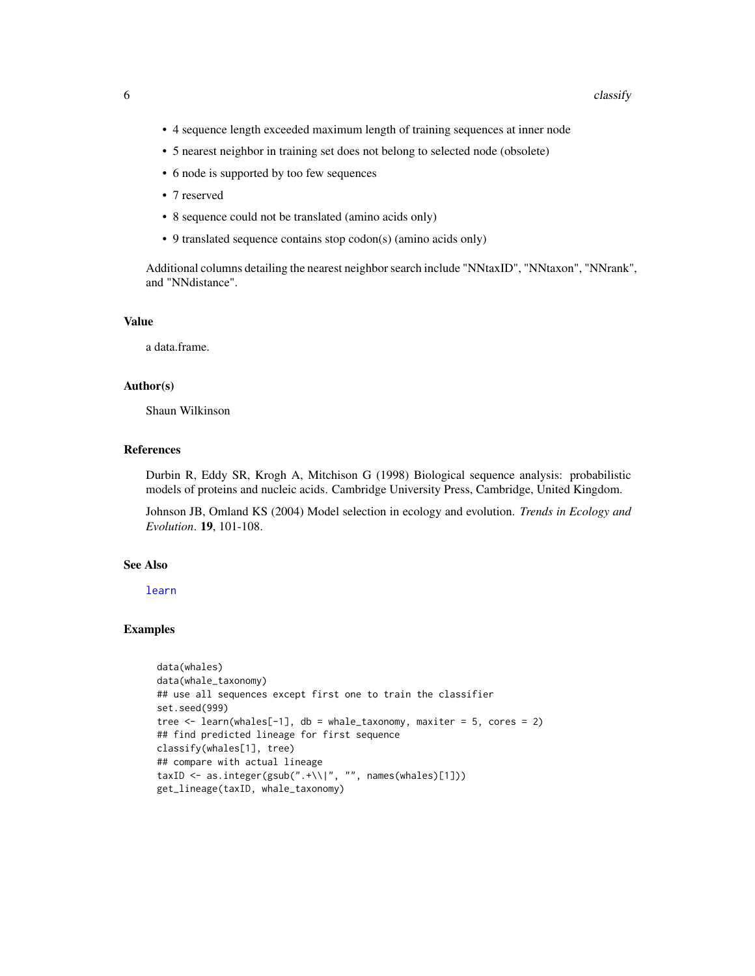- <span id="page-5-0"></span>• 4 sequence length exceeded maximum length of training sequences at inner node
- 5 nearest neighbor in training set does not belong to selected node (obsolete)
- 6 node is supported by too few sequences
- 7 reserved
- 8 sequence could not be translated (amino acids only)
- 9 translated sequence contains stop codon(s) (amino acids only)

Additional columns detailing the nearest neighbor search include "NNtaxID", "NNtaxon", "NNrank", and "NNdistance".

# Value

a data.frame.

# Author(s)

Shaun Wilkinson

# References

Durbin R, Eddy SR, Krogh A, Mitchison G (1998) Biological sequence analysis: probabilistic models of proteins and nucleic acids. Cambridge University Press, Cambridge, United Kingdom.

Johnson JB, Omland KS (2004) Model selection in ecology and evolution. *Trends in Ecology and Evolution*. 19, 101-108.

# See Also

[learn](#page-16-1)

# Examples

```
data(whales)
data(whale_taxonomy)
## use all sequences except first one to train the classifier
set.seed(999)
tree \leq learn(whales[-1], db = whale_taxonomy, maxiter = 5, cores = 2)
## find predicted lineage for first sequence
classify(whales[1], tree)
## compare with actual lineage
taxID <- as.integer(gsub(".+\\|", "", names(whales)[1]))
get_lineage(taxID, whale_taxonomy)
```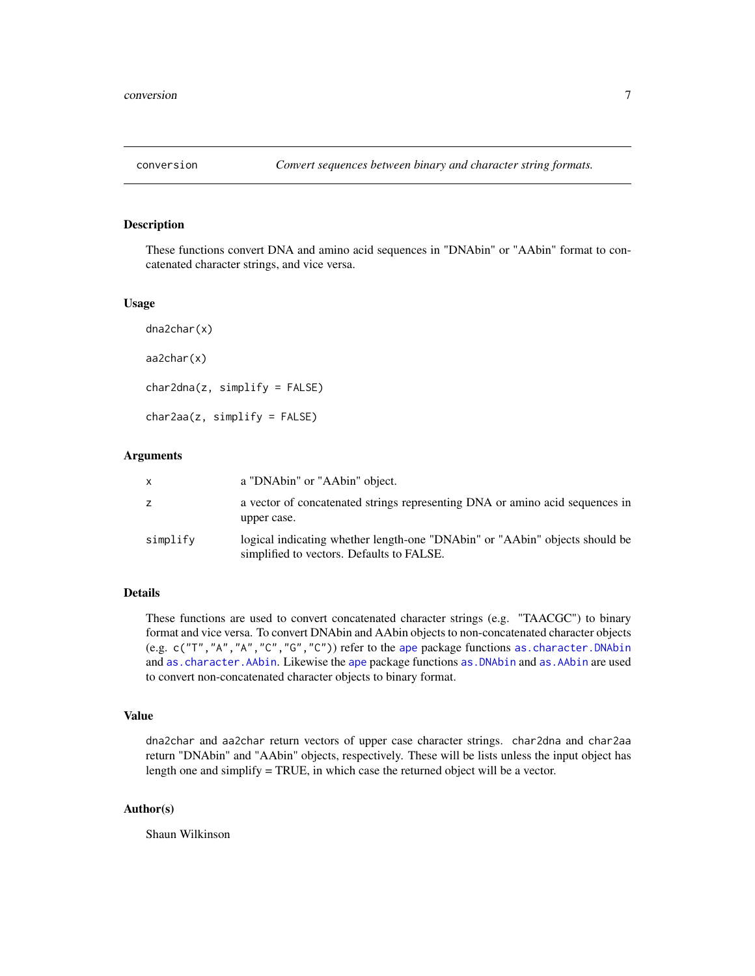<span id="page-6-0"></span>

### Description

These functions convert DNA and amino acid sequences in "DNAbin" or "AAbin" format to concatenated character strings, and vice versa.

#### Usage

```
dna2char(x)
aa2char(x)
char2dna(z, simplify = FALSE)
char2aa(z, simplify = FALSE)
```
#### Arguments

| x        | a "DNAbin" or "AAbin" object.                                                                                            |
|----------|--------------------------------------------------------------------------------------------------------------------------|
| z        | a vector of concatenated strings representing DNA or amino acid sequences in<br>upper case.                              |
| simplify | logical indicating whether length-one "DNAbin" or "AAbin" objects should be<br>simplified to vectors. Defaults to FALSE. |

# Details

These functions are used to convert concatenated character strings (e.g. "TAACGC") to binary format and vice versa. To convert DNAbin and AAbin objects to non-concatenated character objects (e.g. c("T","A","A","C","G","C")) refer to the [ape](#page-0-0) package functions [as.character.DNAbin](#page-0-0) and [as.character.AAbin](#page-0-0). Likewise the [ape](#page-0-0) package functions [as.DNAbin](#page-0-0) and [as.AAbin](#page-0-0) are used to convert non-concatenated character objects to binary format.

### Value

dna2char and aa2char return vectors of upper case character strings. char2dna and char2aa return "DNAbin" and "AAbin" objects, respectively. These will be lists unless the input object has length one and simplify = TRUE, in which case the returned object will be a vector.

# Author(s)

Shaun Wilkinson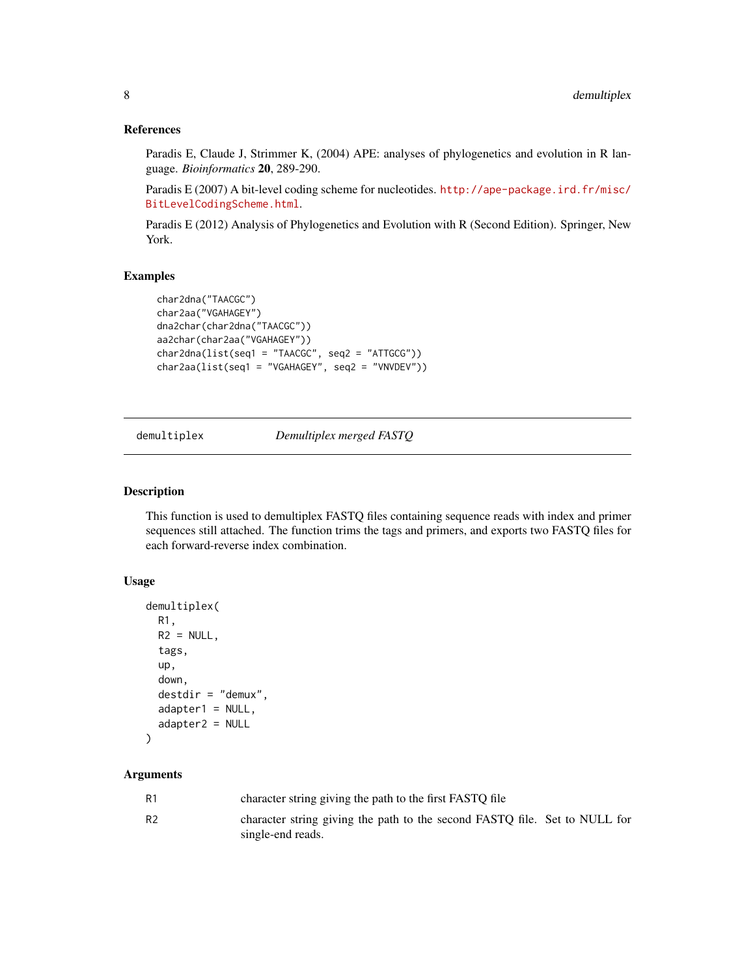# References

Paradis E, Claude J, Strimmer K, (2004) APE: analyses of phylogenetics and evolution in R language. *Bioinformatics* 20, 289-290.

Paradis E (2007) A bit-level coding scheme for nucleotides. [http://ape-package.ird.fr/misc/](http://ape-package.ird.fr/misc/BitLevelCodingScheme.html) [BitLevelCodingScheme.html](http://ape-package.ird.fr/misc/BitLevelCodingScheme.html).

Paradis E (2012) Analysis of Phylogenetics and Evolution with R (Second Edition). Springer, New York.

#### Examples

```
char2dna("TAACGC")
char2aa("VGAHAGEY")
dna2char(char2dna("TAACGC"))
aa2char(char2aa("VGAHAGEY"))
char2dna(list(seq1 = "TAACGC", seq2 = "ATTGCG"))
char2aa(list(seq1 = "VGAHAGEY", seq2 = "VNVDEV"))
```
demultiplex *Demultiplex merged FASTQ*

#### Description

This function is used to demultiplex FASTQ files containing sequence reads with index and primer sequences still attached. The function trims the tags and primers, and exports two FASTQ files for each forward-reverse index combination.

# Usage

```
demultiplex(
  R1,
  R2 = NULL,tags,
  up,
  down,
  destdir = "demux",
  adapter1 = NULL,adapter2 = NULL
\lambda
```
#### **Arguments**

| R1 | character string giving the path to the first FASTQ file                                        |  |
|----|-------------------------------------------------------------------------------------------------|--|
| R2 | character string giving the path to the second FASTQ file. Set to NULL for<br>single-end reads. |  |

<span id="page-7-0"></span>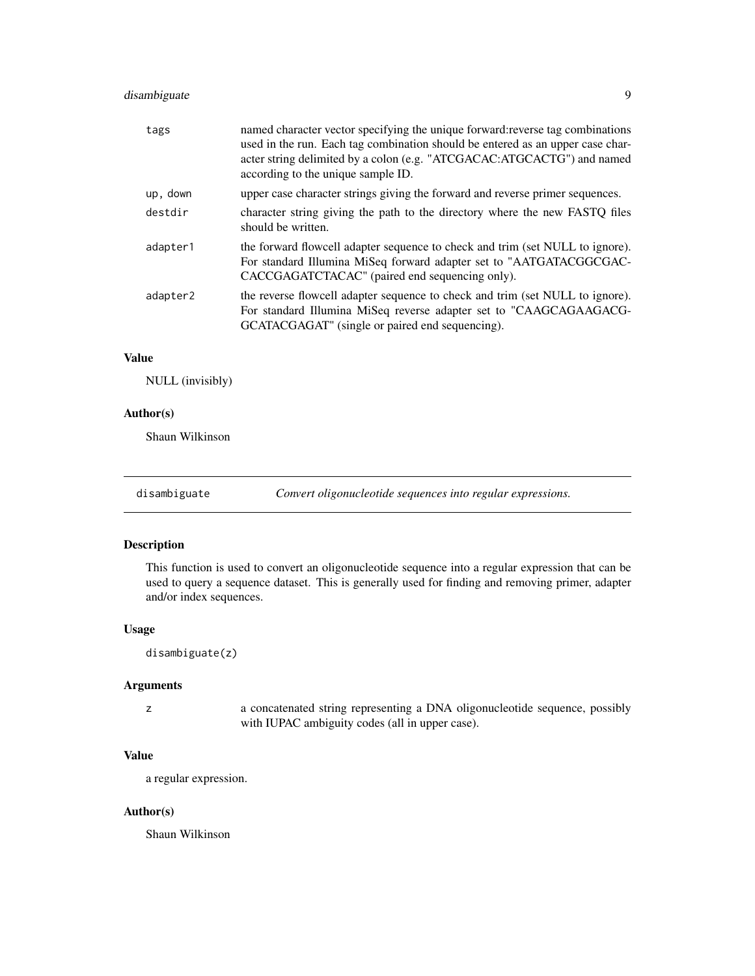# <span id="page-8-0"></span>disambiguate 9

| tags     | named character vector specifying the unique forward: reverse tag combinations<br>used in the run. Each tag combination should be entered as an upper case char-<br>acter string delimited by a colon (e.g. "ATCGACAC:ATGCACTG") and named<br>according to the unique sample ID. |
|----------|----------------------------------------------------------------------------------------------------------------------------------------------------------------------------------------------------------------------------------------------------------------------------------|
| up, down | upper case character strings giving the forward and reverse primer sequences.                                                                                                                                                                                                    |
| destdir  | character string giving the path to the directory where the new FASTQ files<br>should be written.                                                                                                                                                                                |
| adapter1 | the forward flowcell adapter sequence to check and trim (set NULL to ignore).<br>For standard Illumina MiSeq forward adapter set to "AATGATACGGCGAC-<br>CACCGAGATCTACAC" (paired end sequencing only).                                                                           |
| adapter2 | the reverse flowcell adapter sequence to check and trim (set NULL to ignore).<br>For standard Illumina MiSeq reverse adapter set to "CAAGCAGAAGACG-<br>GCATACGAGAT" (single or paired end sequencing).                                                                           |

# Value

NULL (invisibly)

# Author(s)

Shaun Wilkinson

disambiguate *Convert oligonucleotide sequences into regular expressions.*

# Description

This function is used to convert an oligonucleotide sequence into a regular expression that can be used to query a sequence dataset. This is generally used for finding and removing primer, adapter and/or index sequences.

# Usage

disambiguate(z)

# Arguments

z a concatenated string representing a DNA oligonucleotide sequence, possibly with IUPAC ambiguity codes (all in upper case).

# Value

a regular expression.

# Author(s)

Shaun Wilkinson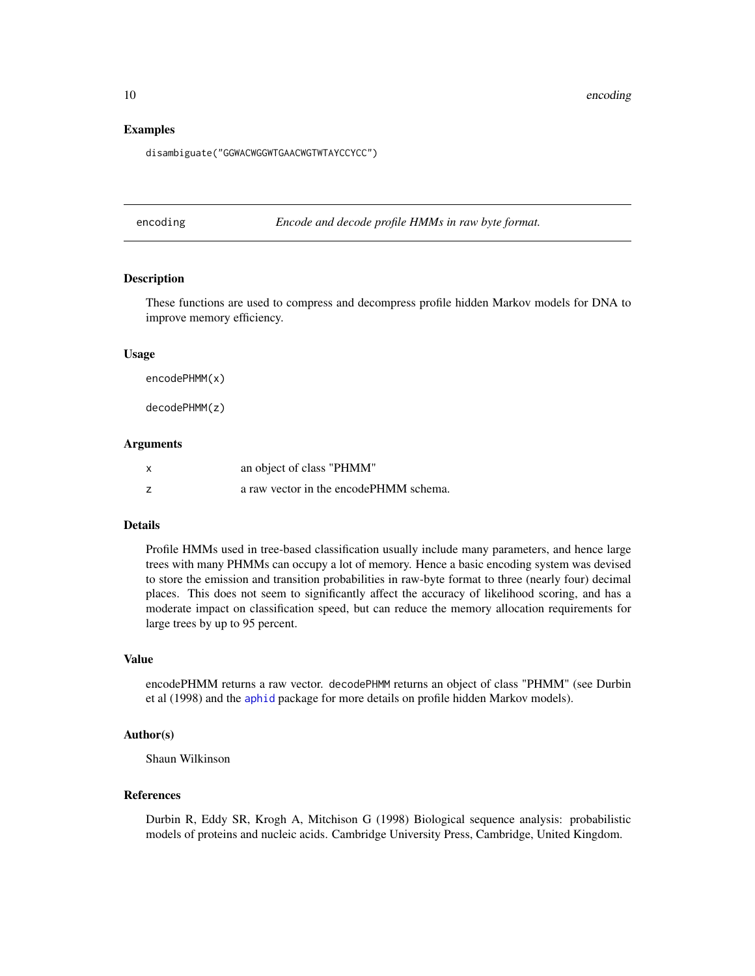#### <span id="page-9-0"></span>Examples

disambiguate("GGWACWGGWTGAACWGTWTAYCCYCC")

encoding *Encode and decode profile HMMs in raw byte format.*

#### **Description**

These functions are used to compress and decompress profile hidden Markov models for DNA to improve memory efficiency.

#### Usage

```
encodePHMM(x)
```
decodePHMM(z)

#### Arguments

| x | an object of class "PHMM"              |
|---|----------------------------------------|
|   | a raw vector in the encodePHMM schema. |

#### Details

Profile HMMs used in tree-based classification usually include many parameters, and hence large trees with many PHMMs can occupy a lot of memory. Hence a basic encoding system was devised to store the emission and transition probabilities in raw-byte format to three (nearly four) decimal places. This does not seem to significantly affect the accuracy of likelihood scoring, and has a moderate impact on classification speed, but can reduce the memory allocation requirements for large trees by up to 95 percent.

# Value

encodePHMM returns a raw vector. decodePHMM returns an object of class "PHMM" (see Durbin et al (1998) and the [aphid](#page-0-0) package for more details on profile hidden Markov models).

#### Author(s)

Shaun Wilkinson

# References

Durbin R, Eddy SR, Krogh A, Mitchison G (1998) Biological sequence analysis: probabilistic models of proteins and nucleic acids. Cambridge University Press, Cambridge, United Kingdom.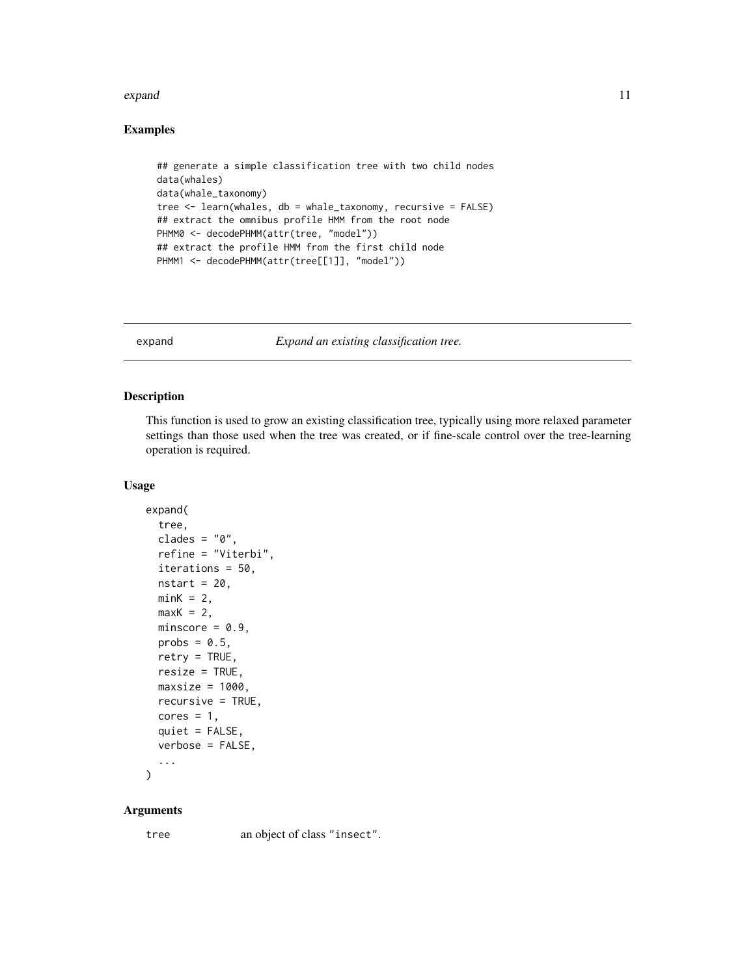#### <span id="page-10-0"></span>expand to the contract of the contract of the contract of the contract of the contract of the contract of the contract of the contract of the contract of the contract of the contract of the contract of the contract of the

# Examples

```
## generate a simple classification tree with two child nodes
data(whales)
data(whale_taxonomy)
tree <- learn(whales, db = whale_taxonomy, recursive = FALSE)
## extract the omnibus profile HMM from the root node
PHMM0 <- decodePHMM(attr(tree, "model"))
## extract the profile HMM from the first child node
PHMM1 <- decodePHMM(attr(tree[[1]], "model"))
```
expand *Expand an existing classification tree.*

#### Description

This function is used to grow an existing classification tree, typically using more relaxed parameter settings than those used when the tree was created, or if fine-scale control over the tree-learning operation is required.

#### Usage

```
expand(
  tree,
  clades = "0",refine = "Viterbi",
  iterations = 50,
 nstart = 20,
 minK = 2,
 maxK = 2,
 minscore = 0.9,
 probs = 0.5,
  retry = TRUE,
  resize = TRUE,
 maxsize = 1000,
 recursive = TRUE,
  cores = 1,quiet = FALSE,
  verbose = FALSE,
  ...
```
)

#### Arguments

tree an object of class "insect".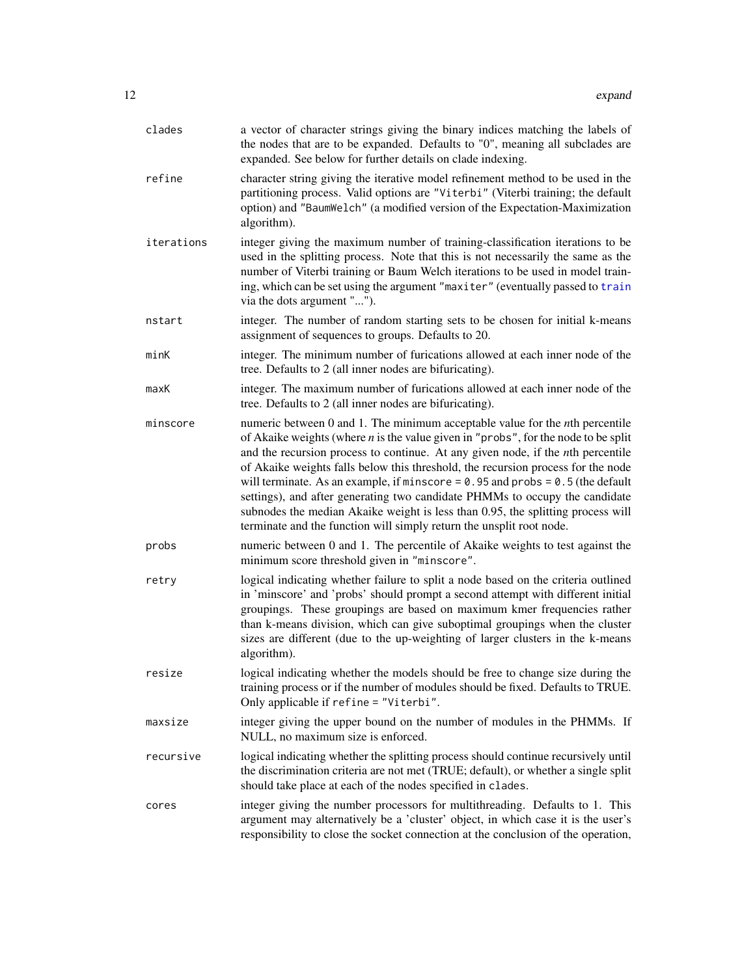<span id="page-11-0"></span>

| clades     | a vector of character strings giving the binary indices matching the labels of<br>the nodes that are to be expanded. Defaults to "0", meaning all subclades are<br>expanded. See below for further details on clade indexing.                                                                                                                                                                                                                                                                                                                                                                                                                                               |
|------------|-----------------------------------------------------------------------------------------------------------------------------------------------------------------------------------------------------------------------------------------------------------------------------------------------------------------------------------------------------------------------------------------------------------------------------------------------------------------------------------------------------------------------------------------------------------------------------------------------------------------------------------------------------------------------------|
| refine     | character string giving the iterative model refinement method to be used in the<br>partitioning process. Valid options are "Viterbi" (Viterbi training; the default<br>option) and "BaumWelch" (a modified version of the Expectation-Maximization<br>algorithm).                                                                                                                                                                                                                                                                                                                                                                                                           |
| iterations | integer giving the maximum number of training-classification iterations to be<br>used in the splitting process. Note that this is not necessarily the same as the<br>number of Viterbi training or Baum Welch iterations to be used in model train-<br>ing, which can be set using the argument "maxiter" (eventually passed to train<br>via the dots argument "").                                                                                                                                                                                                                                                                                                         |
| nstart     | integer. The number of random starting sets to be chosen for initial k-means<br>assignment of sequences to groups. Defaults to 20.                                                                                                                                                                                                                                                                                                                                                                                                                                                                                                                                          |
| minK       | integer. The minimum number of furications allowed at each inner node of the<br>tree. Defaults to 2 (all inner nodes are bifuricating).                                                                                                                                                                                                                                                                                                                                                                                                                                                                                                                                     |
| maxK       | integer. The maximum number of furications allowed at each inner node of the<br>tree. Defaults to 2 (all inner nodes are bifuricating).                                                                                                                                                                                                                                                                                                                                                                                                                                                                                                                                     |
| minscore   | numeric between 0 and 1. The minimum acceptable value for the nth percentile<br>of Akaike weights (where $n$ is the value given in "probs", for the node to be split<br>and the recursion process to continue. At any given node, if the nth percentile<br>of Akaike weights falls below this threshold, the recursion process for the node<br>will terminate. As an example, if minscore = $0.95$ and probs = $0.5$ (the default<br>settings), and after generating two candidate PHMMs to occupy the candidate<br>subnodes the median Akaike weight is less than 0.95, the splitting process will<br>terminate and the function will simply return the unsplit root node. |
| probs      | numeric between 0 and 1. The percentile of Akaike weights to test against the<br>minimum score threshold given in "minscore".                                                                                                                                                                                                                                                                                                                                                                                                                                                                                                                                               |
| retry      | logical indicating whether failure to split a node based on the criteria outlined<br>in 'minscore' and 'probs' should prompt a second attempt with different initial<br>groupings. These groupings are based on maximum kmer frequencies rather<br>than k-means division, which can give suboptimal groupings when the cluster<br>sizes are different (due to the up-weighting of larger clusters in the k-means<br>algorithm).                                                                                                                                                                                                                                             |
| resize     | logical indicating whether the models should be free to change size during the<br>training process or if the number of modules should be fixed. Defaults to TRUE.<br>Only applicable if refine = "Viterbi".                                                                                                                                                                                                                                                                                                                                                                                                                                                                 |
| maxsize    | integer giving the upper bound on the number of modules in the PHMMs. If<br>NULL, no maximum size is enforced.                                                                                                                                                                                                                                                                                                                                                                                                                                                                                                                                                              |
| recursive  | logical indicating whether the splitting process should continue recursively until<br>the discrimination criteria are not met (TRUE; default), or whether a single split<br>should take place at each of the nodes specified in clades.                                                                                                                                                                                                                                                                                                                                                                                                                                     |
| cores      | integer giving the number processors for multithreading. Defaults to 1. This<br>argument may alternatively be a 'cluster' object, in which case it is the user's<br>responsibility to close the socket connection at the conclusion of the operation,                                                                                                                                                                                                                                                                                                                                                                                                                       |
|            |                                                                                                                                                                                                                                                                                                                                                                                                                                                                                                                                                                                                                                                                             |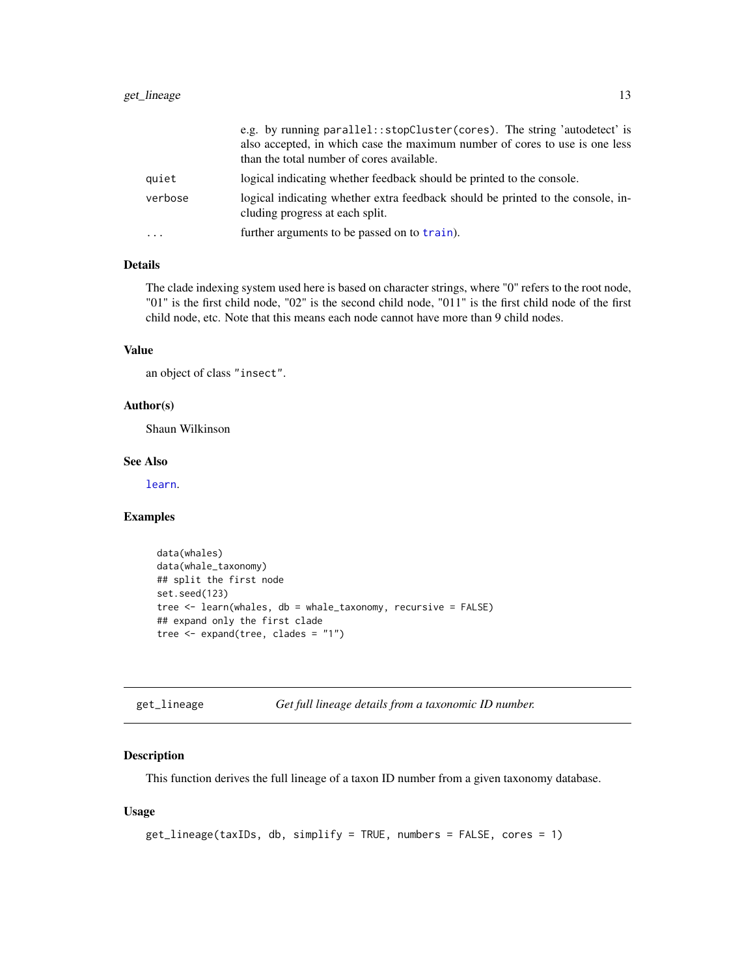<span id="page-12-0"></span>

|           | e.g. by running parallel:: stopCluster (cores). The string 'autodetect' is<br>also accepted, in which case the maximum number of cores to use is one less |
|-----------|-----------------------------------------------------------------------------------------------------------------------------------------------------------|
|           | than the total number of cores available.                                                                                                                 |
| quiet     | logical indicating whether feedback should be printed to the console.                                                                                     |
| verbose   | logical indicating whether extra feedback should be printed to the console, in-<br>cluding progress at each split.                                        |
| $\ddotsc$ | further arguments to be passed on to train).                                                                                                              |

# Details

The clade indexing system used here is based on character strings, where "0" refers to the root node, "01" is the first child node, "02" is the second child node, "011" is the first child node of the first child node, etc. Note that this means each node cannot have more than 9 child nodes.

# Value

an object of class "insect".

# Author(s)

Shaun Wilkinson

# See Also

[learn](#page-16-1).

#### Examples

```
data(whales)
data(whale_taxonomy)
## split the first node
set.seed(123)
tree <- learn(whales, db = whale_taxonomy, recursive = FALSE)
## expand only the first clade
tree <- expand(tree, clades = "1")
```

```
get_lineage Get full lineage details from a taxonomic ID number.
```
# Description

This function derives the full lineage of a taxon ID number from a given taxonomy database.

#### Usage

```
get_lineage(taxIDs, db, simplify = TRUE, numbers = FALSE, cores = 1)
```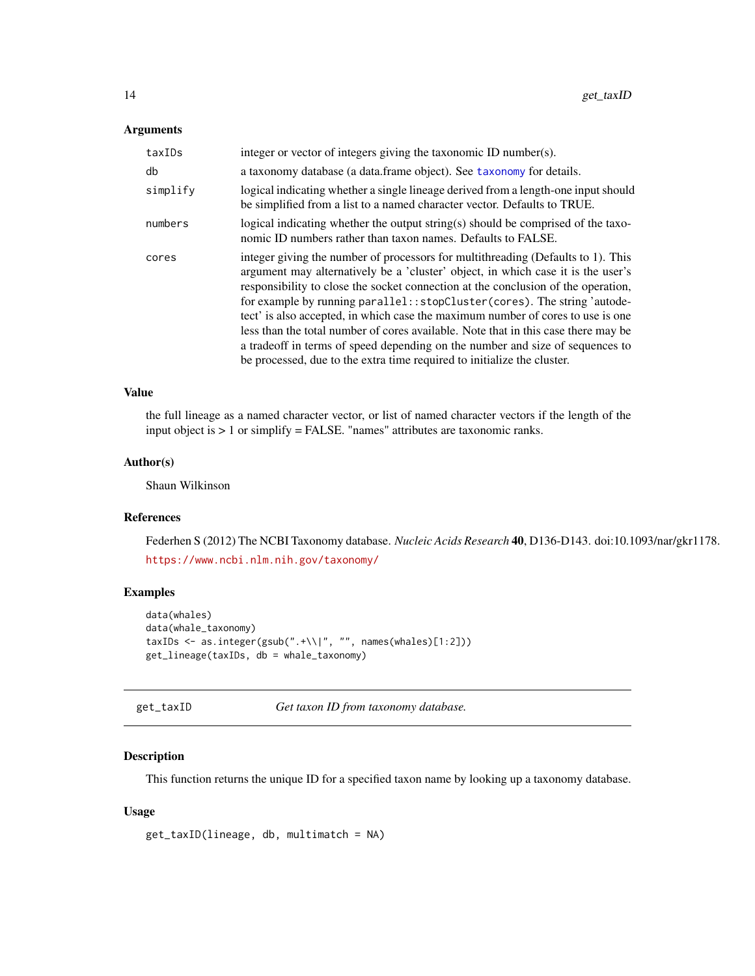#### <span id="page-13-0"></span>Arguments

| taxIDs   | integer or vector of integers giving the taxonomic ID number(s).                                                                                                                                                                                                                                                                                                                                                                                                                                                                                                                                                                                                             |
|----------|------------------------------------------------------------------------------------------------------------------------------------------------------------------------------------------------------------------------------------------------------------------------------------------------------------------------------------------------------------------------------------------------------------------------------------------------------------------------------------------------------------------------------------------------------------------------------------------------------------------------------------------------------------------------------|
| db       | a taxonomy database (a data frame object). See taxonomy for details.                                                                                                                                                                                                                                                                                                                                                                                                                                                                                                                                                                                                         |
| simplify | logical indicating whether a single lineage derived from a length-one input should<br>be simplified from a list to a named character vector. Defaults to TRUE.                                                                                                                                                                                                                                                                                                                                                                                                                                                                                                               |
| numbers  | logical indicating whether the output string(s) should be comprised of the taxo-<br>nomic ID numbers rather than taxon names. Defaults to FALSE.                                                                                                                                                                                                                                                                                                                                                                                                                                                                                                                             |
| cores    | integer giving the number of processors for multithreading (Defaults to 1). This<br>argument may alternatively be a 'cluster' object, in which case it is the user's<br>responsibility to close the socket connection at the conclusion of the operation,<br>for example by running parallel:: stopCluster (cores). The string 'autode-<br>tect' is also accepted, in which case the maximum number of cores to use is one<br>less than the total number of cores available. Note that in this case there may be<br>a tradeoff in terms of speed depending on the number and size of sequences to<br>be processed, due to the extra time required to initialize the cluster. |

#### Value

the full lineage as a named character vector, or list of named character vectors if the length of the input object is > 1 or simplify = FALSE. "names" attributes are taxonomic ranks.

# Author(s)

Shaun Wilkinson

# References

Federhen S (2012) The NCBI Taxonomy database. *Nucleic Acids Research* 40, D136-D143. doi:10.1093/nar/gkr1178. <https://www.ncbi.nlm.nih.gov/taxonomy/>

# Examples

```
data(whales)
data(whale_taxonomy)
taxIDs <- as.integer(gsub(".+\\|", "", names(whales)[1:2]))
get_lineage(taxIDs, db = whale_taxonomy)
```
get\_taxID *Get taxon ID from taxonomy database.*

# Description

This function returns the unique ID for a specified taxon name by looking up a taxonomy database.

# Usage

```
get_taxID(lineage, db, multimatch = NA)
```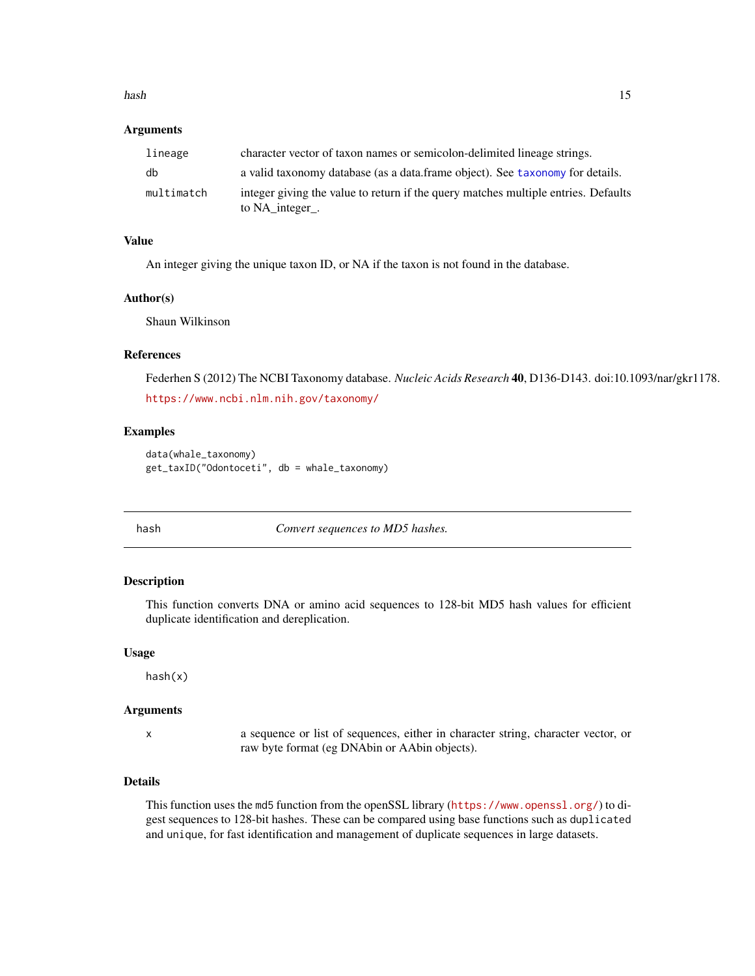#### <span id="page-14-0"></span>hash that the contract of the contract of the contract of the contract of the contract of the contract of the contract of the contract of the contract of the contract of the contract of the contract of the contract of the

#### Arguments

| lineage    | character vector of taxon names or semicolon-delimited lineage strings.                               |
|------------|-------------------------------------------------------------------------------------------------------|
| db         | a valid taxonomy database (as a data frame object). See taxonomy for details.                         |
| multimatch | integer giving the value to return if the query matches multiple entries. Defaults<br>to NA_integer_. |

#### Value

An integer giving the unique taxon ID, or NA if the taxon is not found in the database.

# Author(s)

Shaun Wilkinson

#### References

Federhen S (2012) The NCBI Taxonomy database. *Nucleic Acids Research* 40, D136-D143. doi:10.1093/nar/gkr1178. <https://www.ncbi.nlm.nih.gov/taxonomy/>

# Examples

```
data(whale_taxonomy)
get_taxID("Odontoceti", db = whale_taxonomy)
```
hash *Convert sequences to MD5 hashes.*

#### Description

This function converts DNA or amino acid sequences to 128-bit MD5 hash values for efficient duplicate identification and dereplication.

#### Usage

hash(x)

#### Arguments

x a sequence or list of sequences, either in character string, character vector, or raw byte format (eg DNAbin or AAbin objects).

# Details

This function uses the md5 function from the openSSL library (<https://www.openssl.org/>) to digest sequences to 128-bit hashes. These can be compared using base functions such as duplicated and unique, for fast identification and management of duplicate sequences in large datasets.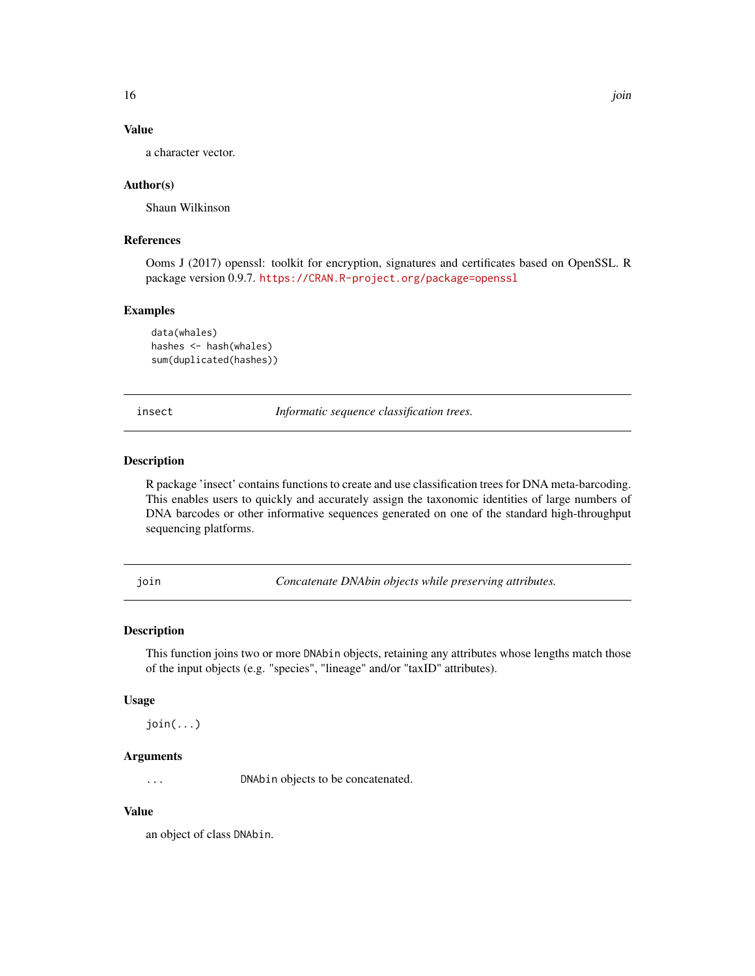# <span id="page-15-0"></span>Value

a character vector.

#### Author(s)

Shaun Wilkinson

#### References

Ooms J (2017) openssl: toolkit for encryption, signatures and certificates based on OpenSSL. R package version 0.9.7. <https://CRAN.R-project.org/package=openssl>

#### Examples

```
data(whales)
hashes <- hash(whales)
sum(duplicated(hashes))
```
insect *Informatic sequence classification trees.*

# Description

R package 'insect' contains functions to create and use classification trees for DNA meta-barcoding. This enables users to quickly and accurately assign the taxonomic identities of large numbers of DNA barcodes or other informative sequences generated on one of the standard high-throughput sequencing platforms.

join *Concatenate DNAbin objects while preserving attributes.*

# Description

This function joins two or more DNAbin objects, retaining any attributes whose lengths match those of the input objects (e.g. "species", "lineage" and/or "taxID" attributes).

#### Usage

join(...)

#### Arguments

... DNAbin objects to be concatenated.

# Value

an object of class DNAbin.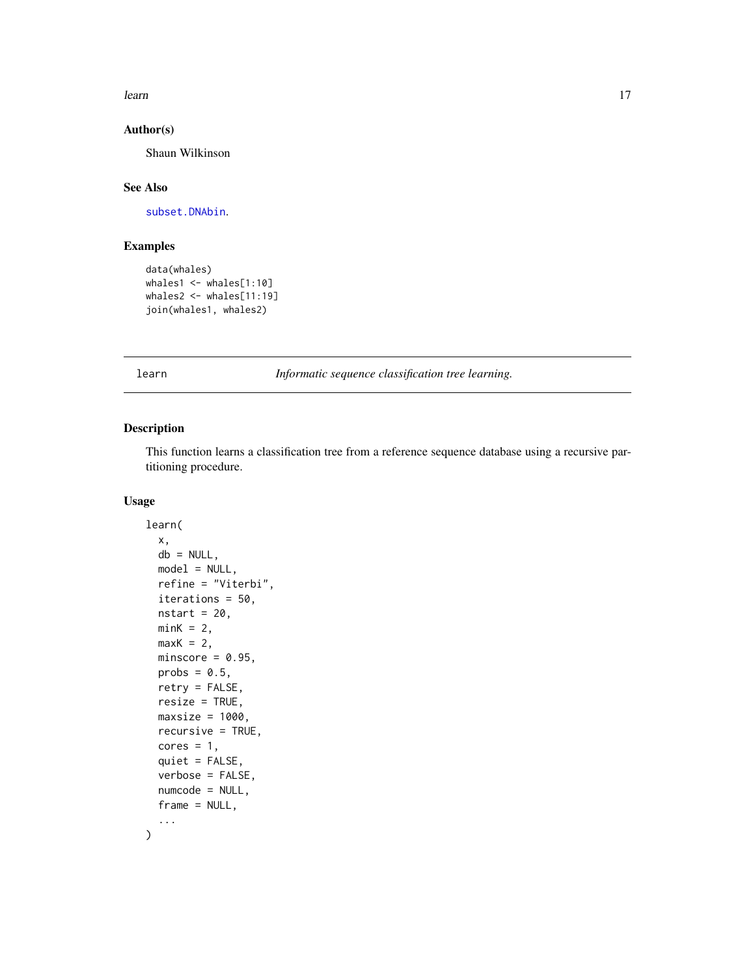<span id="page-16-0"></span>learn anns an 17

# Author(s)

Shaun Wilkinson

#### See Also

[subset.DNAbin](#page-19-1).

# Examples

```
data(whales)
whales1 <- whales[1:10]
whales2 <- whales[11:19]
join(whales1, whales2)
```
<span id="page-16-1"></span>learn *Informatic sequence classification tree learning.*

# Description

This function learns a classification tree from a reference sequence database using a recursive partitioning procedure.

# Usage

```
learn(
  x,
  db = NULL,model = NULL,refine = "Viterbi",
  iterations = 50,
 nstart = 20,
 minK = 2,
 maxK = 2,
 minscore = 0.95,
 probs = 0.5,
  retry = FALSE,
  resize = TRUE,
 maxsize = 1000,recursive = TRUE,
  cores = 1,
  quiet = FALSE,
  verbose = FALSE,
  numcode = NULL,
  frame = NULL,...
\mathcal{E}
```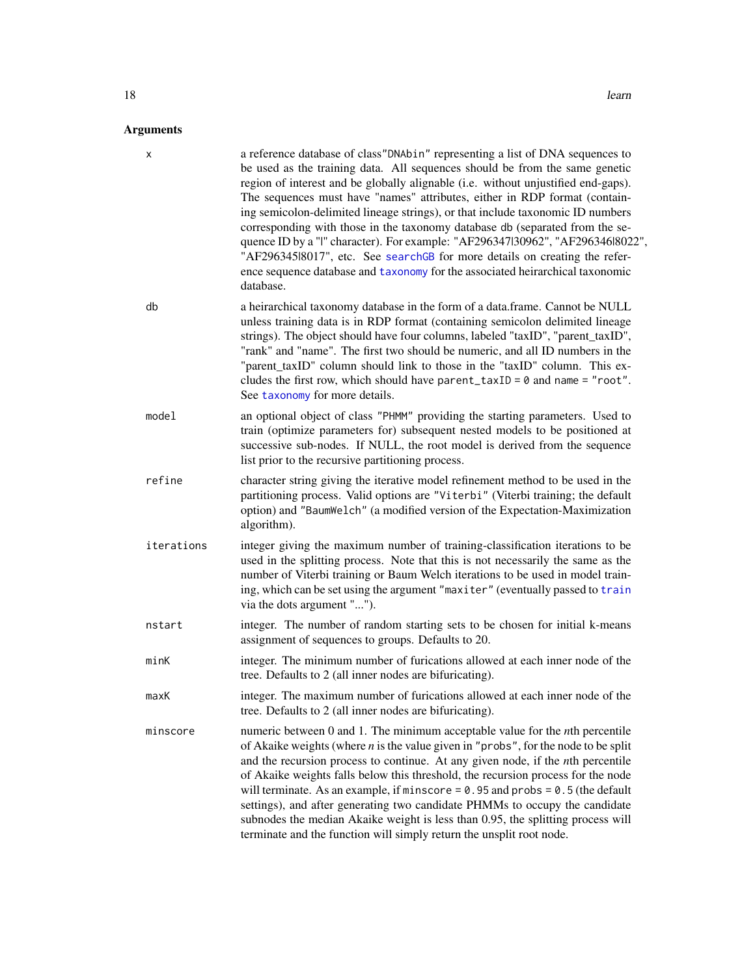# <span id="page-17-0"></span>Arguments

| х          | a reference database of class"DNAbin" representing a list of DNA sequences to<br>be used as the training data. All sequences should be from the same genetic<br>region of interest and be globally alignable (i.e. without unjustified end-gaps).<br>The sequences must have "names" attributes, either in RDP format (contain-<br>ing semicolon-delimited lineage strings), or that include taxonomic ID numbers<br>corresponding with those in the taxonomy database db (separated from the se-<br>quence ID by a "I" character). For example: "AF296347130962", "AF29634618022",<br>"AF29634518017", etc. See searchGB for more details on creating the refer-<br>ence sequence database and taxonomy for the associated heirarchical taxonomic<br>database. |
|------------|-----------------------------------------------------------------------------------------------------------------------------------------------------------------------------------------------------------------------------------------------------------------------------------------------------------------------------------------------------------------------------------------------------------------------------------------------------------------------------------------------------------------------------------------------------------------------------------------------------------------------------------------------------------------------------------------------------------------------------------------------------------------|
| db         | a heirarchical taxonomy database in the form of a data.frame. Cannot be NULL<br>unless training data is in RDP format (containing semicolon delimited lineage<br>strings). The object should have four columns, labeled "taxID", "parent_taxID",<br>"rank" and "name". The first two should be numeric, and all ID numbers in the<br>"parent_taxID" column should link to those in the "taxID" column. This ex-<br>cludes the first row, which should have parent_taxID = $\theta$ and name = "root".<br>See taxonomy for more details.                                                                                                                                                                                                                         |
| model      | an optional object of class "PHMM" providing the starting parameters. Used to<br>train (optimize parameters for) subsequent nested models to be positioned at<br>successive sub-nodes. If NULL, the root model is derived from the sequence<br>list prior to the recursive partitioning process.                                                                                                                                                                                                                                                                                                                                                                                                                                                                |
| refine     | character string giving the iterative model refinement method to be used in the<br>partitioning process. Valid options are "Viterbi" (Viterbi training; the default<br>option) and "BaumWelch" (a modified version of the Expectation-Maximization<br>algorithm).                                                                                                                                                                                                                                                                                                                                                                                                                                                                                               |
| iterations | integer giving the maximum number of training-classification iterations to be<br>used in the splitting process. Note that this is not necessarily the same as the<br>number of Viterbi training or Baum Welch iterations to be used in model train-<br>ing, which can be set using the argument "maxiter" (eventually passed to train<br>via the dots argument "").                                                                                                                                                                                                                                                                                                                                                                                             |
| nstart     | integer. The number of random starting sets to be chosen for initial k-means<br>assignment of sequences to groups. Defaults to 20.                                                                                                                                                                                                                                                                                                                                                                                                                                                                                                                                                                                                                              |
| minK       | integer. The minimum number of furications allowed at each inner node of the<br>tree. Defaults to 2 (all inner nodes are bifuricating).                                                                                                                                                                                                                                                                                                                                                                                                                                                                                                                                                                                                                         |
| maxK       | integer. The maximum number of furications allowed at each inner node of the<br>tree. Defaults to 2 (all inner nodes are bifuricating).                                                                                                                                                                                                                                                                                                                                                                                                                                                                                                                                                                                                                         |
| minscore   | numeric between $0$ and $1$ . The minimum acceptable value for the <i>n</i> th percentile<br>of Akaike weights (where $n$ is the value given in "probs", for the node to be split<br>and the recursion process to continue. At any given node, if the <i>n</i> th percentile<br>of Akaike weights falls below this threshold, the recursion process for the node<br>will terminate. As an example, if minscore = $0.95$ and probs = $0.5$ (the default<br>settings), and after generating two candidate PHMMs to occupy the candidate<br>subnodes the median Akaike weight is less than 0.95, the splitting process will<br>terminate and the function will simply return the unsplit root node.                                                                |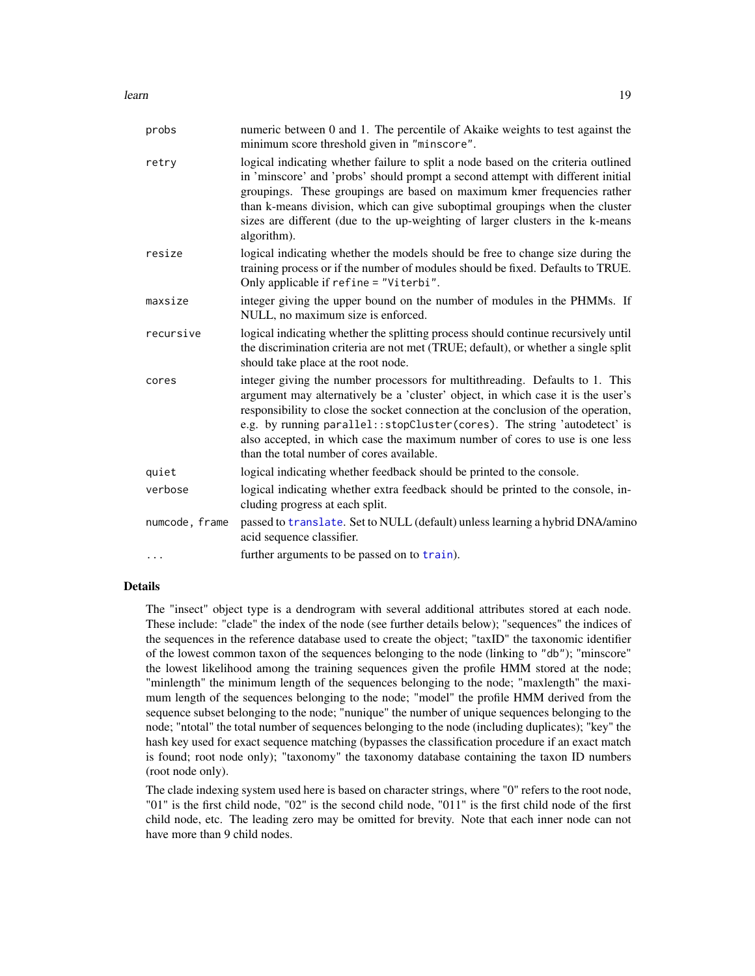<span id="page-18-0"></span>

| probs          | numeric between 0 and 1. The percentile of Akaike weights to test against the<br>minimum score threshold given in "minscore".                                                                                                                                                                                                                                                                                                                                  |  |
|----------------|----------------------------------------------------------------------------------------------------------------------------------------------------------------------------------------------------------------------------------------------------------------------------------------------------------------------------------------------------------------------------------------------------------------------------------------------------------------|--|
| retry          | logical indicating whether failure to split a node based on the criteria outlined<br>in 'minscore' and 'probs' should prompt a second attempt with different initial<br>groupings. These groupings are based on maximum kmer frequencies rather<br>than k-means division, which can give suboptimal groupings when the cluster<br>sizes are different (due to the up-weighting of larger clusters in the k-means<br>algorithm).                                |  |
| resize         | logical indicating whether the models should be free to change size during the<br>training process or if the number of modules should be fixed. Defaults to TRUE.<br>Only applicable if refine = "Viterbi".                                                                                                                                                                                                                                                    |  |
| maxsize        | integer giving the upper bound on the number of modules in the PHMMs. If<br>NULL, no maximum size is enforced.                                                                                                                                                                                                                                                                                                                                                 |  |
| recursive      | logical indicating whether the splitting process should continue recursively until<br>the discrimination criteria are not met (TRUE; default), or whether a single split<br>should take place at the root node.                                                                                                                                                                                                                                                |  |
| cores          | integer giving the number processors for multithreading. Defaults to 1. This<br>argument may alternatively be a 'cluster' object, in which case it is the user's<br>responsibility to close the socket connection at the conclusion of the operation,<br>e.g. by running parallel:: stopCluster(cores). The string 'autodetect' is<br>also accepted, in which case the maximum number of cores to use is one less<br>than the total number of cores available. |  |
| quiet          | logical indicating whether feedback should be printed to the console.                                                                                                                                                                                                                                                                                                                                                                                          |  |
| verbose        | logical indicating whether extra feedback should be printed to the console, in-<br>cluding progress at each split.                                                                                                                                                                                                                                                                                                                                             |  |
| numcode, frame | passed to translate. Set to NULL (default) unless learning a hybrid DNA/amino<br>acid sequence classifier.                                                                                                                                                                                                                                                                                                                                                     |  |
| $\cdots$       | further arguments to be passed on to train).                                                                                                                                                                                                                                                                                                                                                                                                                   |  |

# Details

The "insect" object type is a dendrogram with several additional attributes stored at each node. These include: "clade" the index of the node (see further details below); "sequences" the indices of the sequences in the reference database used to create the object; "taxID" the taxonomic identifier of the lowest common taxon of the sequences belonging to the node (linking to "db"); "minscore" the lowest likelihood among the training sequences given the profile HMM stored at the node; "minlength" the minimum length of the sequences belonging to the node; "maxlength" the maximum length of the sequences belonging to the node; "model" the profile HMM derived from the sequence subset belonging to the node; "nunique" the number of unique sequences belonging to the node; "ntotal" the total number of sequences belonging to the node (including duplicates); "key" the hash key used for exact sequence matching (bypasses the classification procedure if an exact match is found; root node only); "taxonomy" the taxonomy database containing the taxon ID numbers (root node only).

The clade indexing system used here is based on character strings, where "0" refers to the root node, "01" is the first child node, "02" is the second child node, "011" is the first child node of the first child node, etc. The leading zero may be omitted for brevity. Note that each inner node can not have more than 9 child nodes.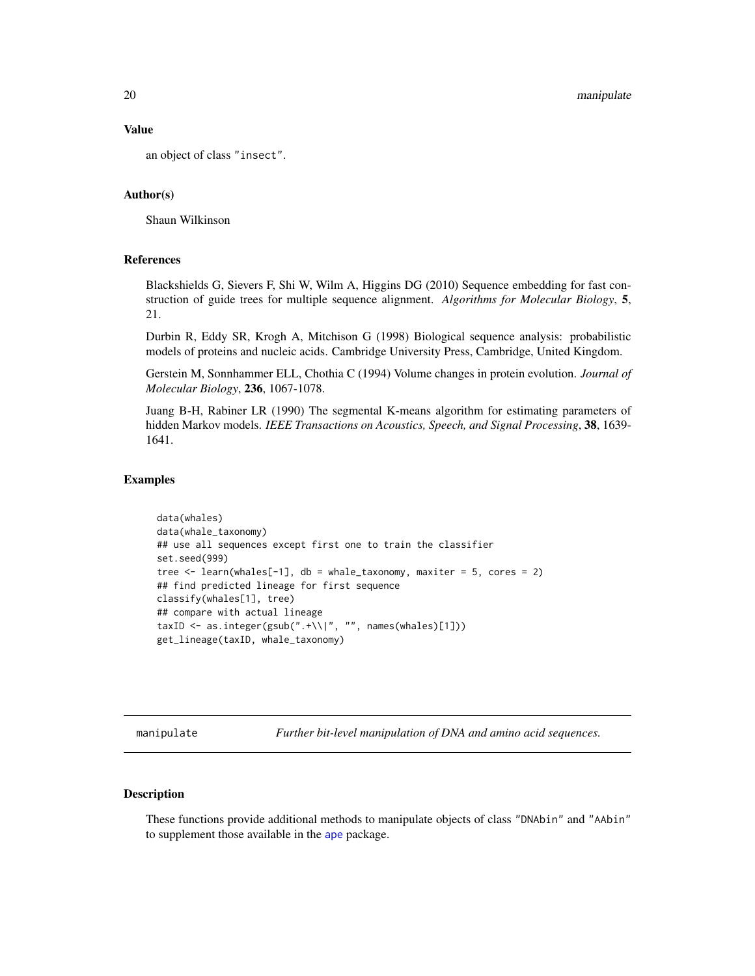#### Value

an object of class "insect".

#### Author(s)

Shaun Wilkinson

#### References

Blackshields G, Sievers F, Shi W, Wilm A, Higgins DG (2010) Sequence embedding for fast construction of guide trees for multiple sequence alignment. *Algorithms for Molecular Biology*, 5, 21.

Durbin R, Eddy SR, Krogh A, Mitchison G (1998) Biological sequence analysis: probabilistic models of proteins and nucleic acids. Cambridge University Press, Cambridge, United Kingdom.

Gerstein M, Sonnhammer ELL, Chothia C (1994) Volume changes in protein evolution. *Journal of Molecular Biology*, 236, 1067-1078.

Juang B-H, Rabiner LR (1990) The segmental K-means algorithm for estimating parameters of hidden Markov models. *IEEE Transactions on Acoustics, Speech, and Signal Processing*, 38, 1639- 1641.

#### Examples

```
data(whales)
data(whale_taxonomy)
## use all sequences except first one to train the classifier
set.seed(999)
tree \leq learn(whales[-1], db = whale_taxonomy, maxiter = 5, cores = 2)
## find predicted lineage for first sequence
classify(whales[1], tree)
## compare with actual lineage
taxID <- as.integer(gsub(".+\\|", "", names(whales)[1]))
get_lineage(taxID, whale_taxonomy)
```
manipulate *Further bit-level manipulation of DNA and amino acid sequences.*

# <span id="page-19-1"></span>Description

These functions provide additional methods to manipulate objects of class "DNAbin" and "AAbin" to supplement those available in the [ape](#page-0-0) package.

<span id="page-19-0"></span>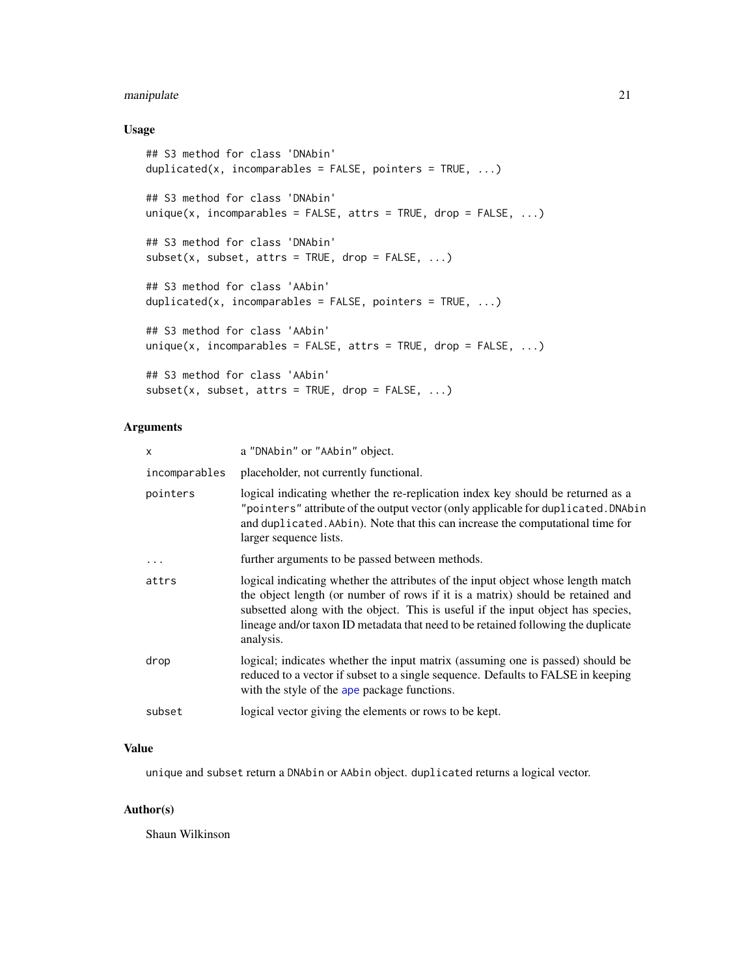# <span id="page-20-0"></span>manipulate 21

# Usage

```
## S3 method for class 'DNAbin'
duplicated(x, incomparables = FALSE, pointers = TRUE, ...)
## S3 method for class 'DNAbin'
unique(x, incomparables = FALSE, attrs = TRUE, drop = FALSE, ...)## S3 method for class 'DNAbin'
subset(x, subset, attrs = TRUE, drop = FALSE, ...)## S3 method for class 'AAbin'
duplicated(x, incomparables = FALSE, pointers = TRUE, \ldots)
## S3 method for class 'AAbin'
unique(x, incomparables = FALSE, attrs = TRUE, drop = FALSE, ...)## S3 method for class 'AAbin'
subset(x, subset, attrs = TRUE, drop = FALSE, ...)
```
# Arguments

| x             | a "DNAbin" or "AAbin" object.                                                                                                                                                                                                                                                                                                                            |
|---------------|----------------------------------------------------------------------------------------------------------------------------------------------------------------------------------------------------------------------------------------------------------------------------------------------------------------------------------------------------------|
| incomparables | placeholder, not currently functional.                                                                                                                                                                                                                                                                                                                   |
| pointers      | logical indicating whether the re-replication index key should be returned as a<br>"pointers" attribute of the output vector (only applicable for duplicated. DNAbin<br>and duplicated. AAbin). Note that this can increase the computational time for<br>larger sequence lists.                                                                         |
| .             | further arguments to be passed between methods.                                                                                                                                                                                                                                                                                                          |
| attrs         | logical indicating whether the attributes of the input object whose length match<br>the object length (or number of rows if it is a matrix) should be retained and<br>subsetted along with the object. This is useful if the input object has species,<br>lineage and/or taxon ID metadata that need to be retained following the duplicate<br>analysis. |
| drop          | logical; indicates whether the input matrix (assuming one is passed) should be<br>reduced to a vector if subset to a single sequence. Defaults to FALSE in keeping<br>with the style of the ape package functions.                                                                                                                                       |
| subset        | logical vector giving the elements or rows to be kept.                                                                                                                                                                                                                                                                                                   |
|               |                                                                                                                                                                                                                                                                                                                                                          |

#### Value

unique and subset return a DNAbin or AAbin object. duplicated returns a logical vector.

#### Author(s)

Shaun Wilkinson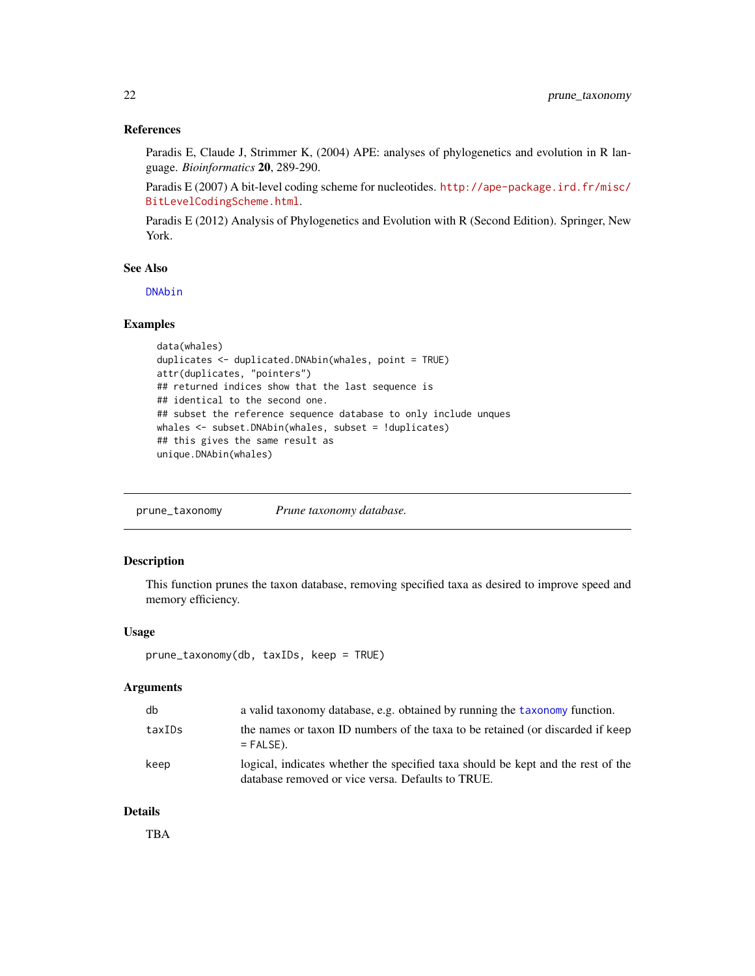# <span id="page-21-0"></span>References

Paradis E, Claude J, Strimmer K, (2004) APE: analyses of phylogenetics and evolution in R language. *Bioinformatics* 20, 289-290.

Paradis E (2007) A bit-level coding scheme for nucleotides. [http://ape-package.ird.fr/misc/](http://ape-package.ird.fr/misc/BitLevelCodingScheme.html) [BitLevelCodingScheme.html](http://ape-package.ird.fr/misc/BitLevelCodingScheme.html).

Paradis E (2012) Analysis of Phylogenetics and Evolution with R (Second Edition). Springer, New York.

# See Also

[DNAbin](#page-0-0)

# Examples

```
data(whales)
duplicates <- duplicated.DNAbin(whales, point = TRUE)
attr(duplicates, "pointers")
## returned indices show that the last sequence is
## identical to the second one.
## subset the reference sequence database to only include unques
whales <- subset.DNAbin(whales, subset = !duplicates)
## this gives the same result as
unique.DNAbin(whales)
```
<span id="page-21-1"></span>prune\_taxonomy *Prune taxonomy database.*

# Description

This function prunes the taxon database, removing specified taxa as desired to improve speed and memory efficiency.

# Usage

```
prune_taxonomy(db, taxIDs, keep = TRUE)
```
# Arguments

| db     | a valid taxonomy database, e.g. obtained by running the taxonomy function.                                                            |
|--------|---------------------------------------------------------------------------------------------------------------------------------------|
| taxIDs | the names or taxon ID numbers of the taxa to be retained (or discarded if keep<br>$=$ FALSE).                                         |
| keep   | logical, indicates whether the specified taxa should be kept and the rest of the<br>database removed or vice versa. Defaults to TRUE. |

# Details

TBA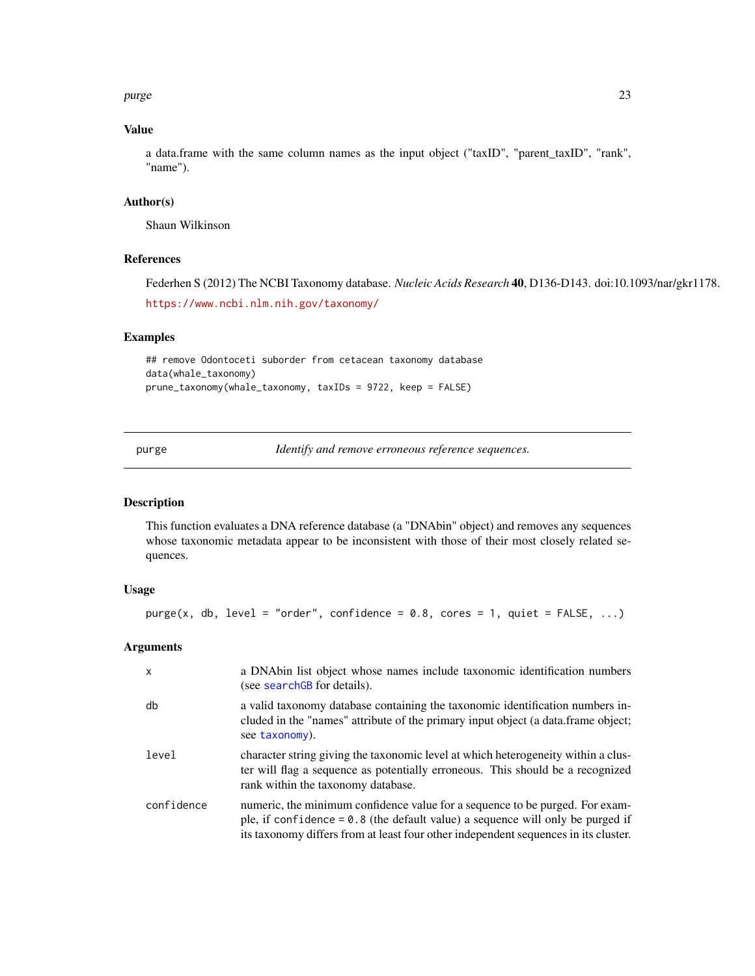<span id="page-22-0"></span>purge 23

# Value

a data.frame with the same column names as the input object ("taxID", "parent\_taxID", "rank", "name").

# Author(s)

Shaun Wilkinson

# References

Federhen S (2012) The NCBI Taxonomy database. *Nucleic Acids Research* 40, D136-D143. doi:10.1093/nar/gkr1178. <https://www.ncbi.nlm.nih.gov/taxonomy/>

#### Examples

```
## remove Odontoceti suborder from cetacean taxonomy database
data(whale_taxonomy)
prune_taxonomy(whale_taxonomy, taxIDs = 9722, keep = FALSE)
```
purge *Identify and remove erroneous reference sequences.*

# Description

This function evaluates a DNA reference database (a "DNAbin" object) and removes any sequences whose taxonomic metadata appear to be inconsistent with those of their most closely related sequences.

# Usage

 $pure(x, db, level = "order", confidence = 0.8, cores = 1, quiet = FALSE, ...)$ 

#### Arguments

| $\mathsf{x}$ | a DNAbin list object whose names include taxonomic identification numbers<br>(see searchGB for details).                                                                                                                                                |
|--------------|---------------------------------------------------------------------------------------------------------------------------------------------------------------------------------------------------------------------------------------------------------|
| db           | a valid taxonomy database containing the taxonomic identification numbers in-<br>cluded in the "names" attribute of the primary input object (a data.frame object;<br>see taxonomy).                                                                    |
| level        | character string giving the taxonomic level at which heterogeneity within a clus-<br>ter will flag a sequence as potentially erroneous. This should be a recognized<br>rank within the taxonomy database.                                               |
| confidence   | numeric, the minimum confidence value for a sequence to be purged. For exam-<br>ple, if confidence = $0.8$ (the default value) a sequence will only be purged if<br>its taxonomy differs from at least four other independent sequences in its cluster. |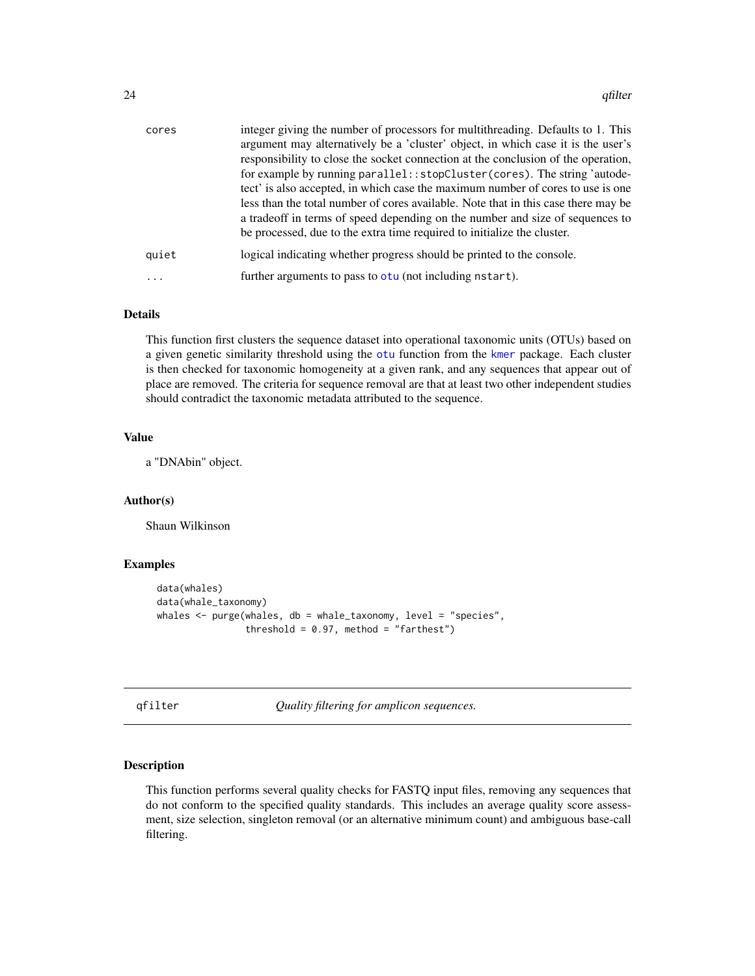<span id="page-23-0"></span>

| cores | integer giving the number of processors for multithreading. Defaults to 1. This    |
|-------|------------------------------------------------------------------------------------|
|       | argument may alternatively be a 'cluster' object, in which case it is the user's   |
|       | responsibility to close the socket connection at the conclusion of the operation,  |
|       | for example by running parallel::stopCluster(cores). The string 'autode-           |
|       | tect' is also accepted, in which case the maximum number of cores to use is one    |
|       | less than the total number of cores available. Note that in this case there may be |
|       | a tradeoff in terms of speed depending on the number and size of sequences to      |
|       | be processed, due to the extra time required to initialize the cluster.            |
| quiet | logical indicating whether progress should be printed to the console.              |
|       | further arguments to pass to otu (not including nstart).                           |
|       |                                                                                    |

#### Details

This function first clusters the sequence dataset into operational taxonomic units (OTUs) based on a given genetic similarity threshold using the [otu](#page-0-0) function from the [kmer](#page-0-0) package. Each cluster is then checked for taxonomic homogeneity at a given rank, and any sequences that appear out of place are removed. The criteria for sequence removal are that at least two other independent studies should contradict the taxonomic metadata attributed to the sequence.

# Value

a "DNAbin" object.

#### Author(s)

Shaun Wilkinson

# Examples

```
data(whales)
data(whale_taxonomy)
whales \leq purge(whales, db = whale_taxonomy, level = "species",
                threshold = 0.97, method = "farthest")
```
qfilter *Quality filtering for amplicon sequences.*

# Description

This function performs several quality checks for FASTQ input files, removing any sequences that do not conform to the specified quality standards. This includes an average quality score assessment, size selection, singleton removal (or an alternative minimum count) and ambiguous base-call filtering.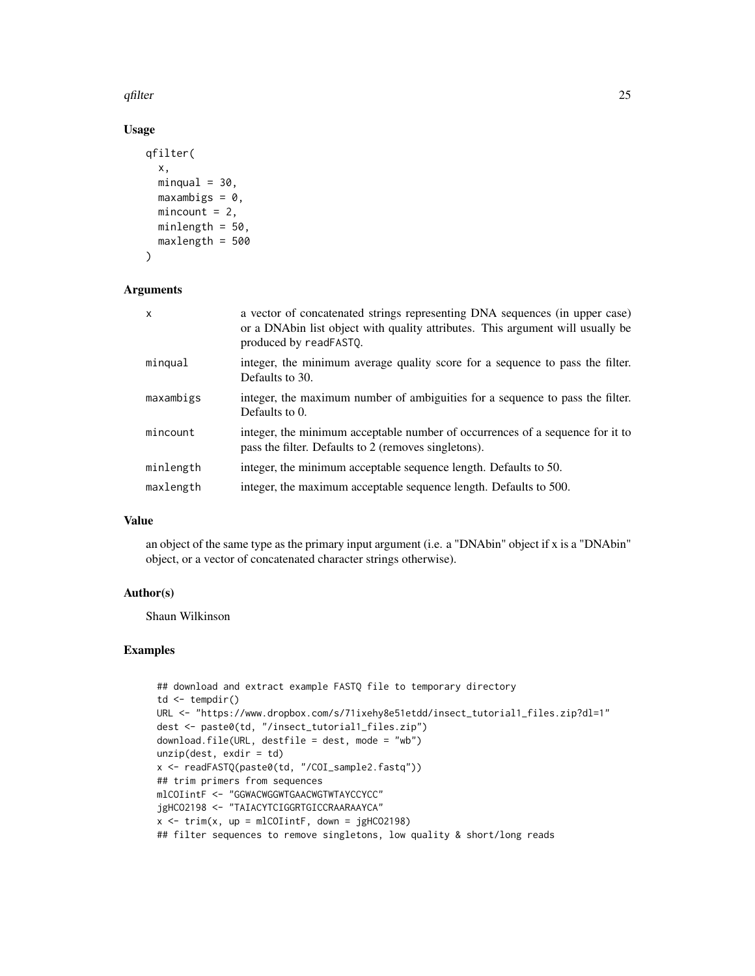qfilter 25

# Usage

```
qfilter(
  x,
 minqual = 30,
 maxambigs = 0,
 mincount = 2,
 minlength = 50,
 maxlength = 500
)
```
# Arguments

| $\mathsf{x}$ | a vector of concatenated strings representing DNA sequences (in upper case)<br>or a DNAbin list object with quality attributes. This argument will usually be<br>produced by readFASTQ. |
|--------------|-----------------------------------------------------------------------------------------------------------------------------------------------------------------------------------------|
| mingual      | integer, the minimum average quality score for a sequence to pass the filter.<br>Defaults to 30.                                                                                        |
| maxambigs    | integer, the maximum number of ambiguities for a sequence to pass the filter.<br>Defaults to 0.                                                                                         |
| mincount     | integer, the minimum acceptable number of occurrences of a sequence for it to<br>pass the filter. Defaults to 2 (removes singletons).                                                   |
| minlength    | integer, the minimum acceptable sequence length. Defaults to 50.                                                                                                                        |
| maxlength    | integer, the maximum acceptable sequence length. Defaults to 500.                                                                                                                       |

# Value

an object of the same type as the primary input argument (i.e. a "DNAbin" object if x is a "DNAbin" object, or a vector of concatenated character strings otherwise).

#### Author(s)

Shaun Wilkinson

# Examples

```
## download and extract example FASTQ file to temporary directory
td \leftarrow tempdir()URL <- "https://www.dropbox.com/s/71ixehy8e51etdd/insect_tutorial1_files.zip?dl=1"
dest <- paste0(td, "/insect_tutorial1_files.zip")
download.file(URL, destfile = dest, mode = "wb")
unzip(dest, exit)x <- readFASTQ(paste0(td, "/COI_sample2.fastq"))
## trim primers from sequences
mlCOIintF <- "GGWACWGGWTGAACWGTWTAYCCYCC"
jgHCO2198 <- "TAIACYTCIGGRTGICCRAARAAYCA"
x \le -\text{trim}(x, \text{ up} = \text{mlCOIintF}, \text{ down} = \text{jgHCO2198})## filter sequences to remove singletons, low quality & short/long reads
```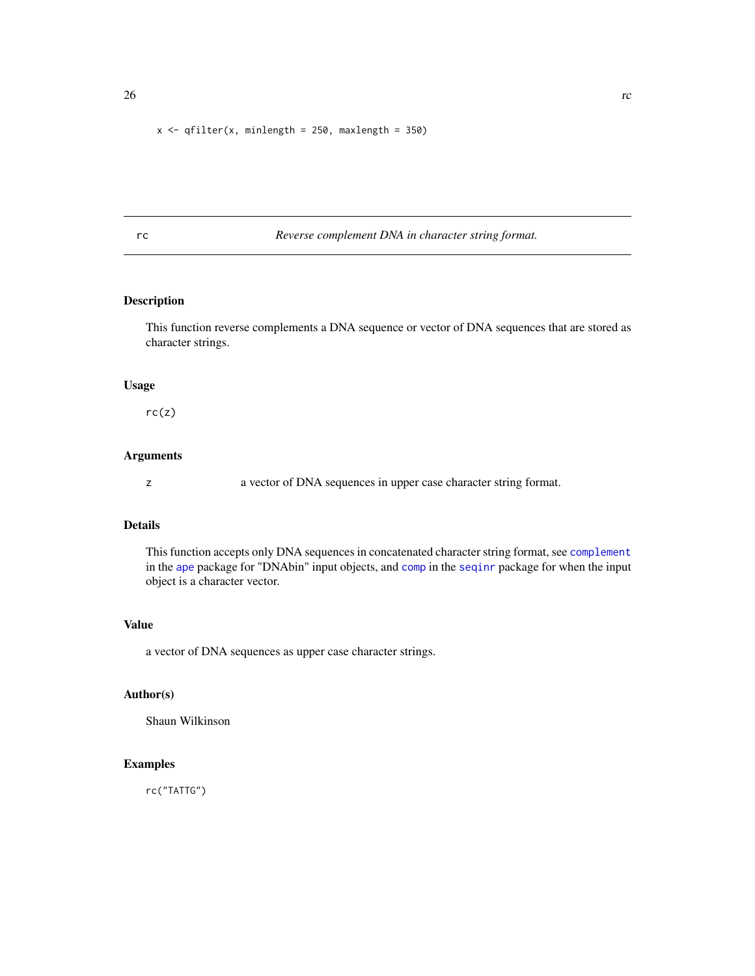```
x \leq - qfilter(x, minlength = 250, maxlength = 350)
```
rc *Reverse complement DNA in character string format.*

# Description

This function reverse complements a DNA sequence or vector of DNA sequences that are stored as character strings.

# Usage

 $rc(z)$ 

# Arguments

z a vector of DNA sequences in upper case character string format.

# Details

This function accepts only DNA sequences in concatenated character string format, see [complement](#page-0-0) in the [ape](#page-0-0) package for "DNAbin" input objects, and [comp](#page-0-0) in the [seqinr](#page-0-0) package for when the input object is a character vector.

# Value

a vector of DNA sequences as upper case character strings.

#### Author(s)

Shaun Wilkinson

# Examples

rc("TATTG")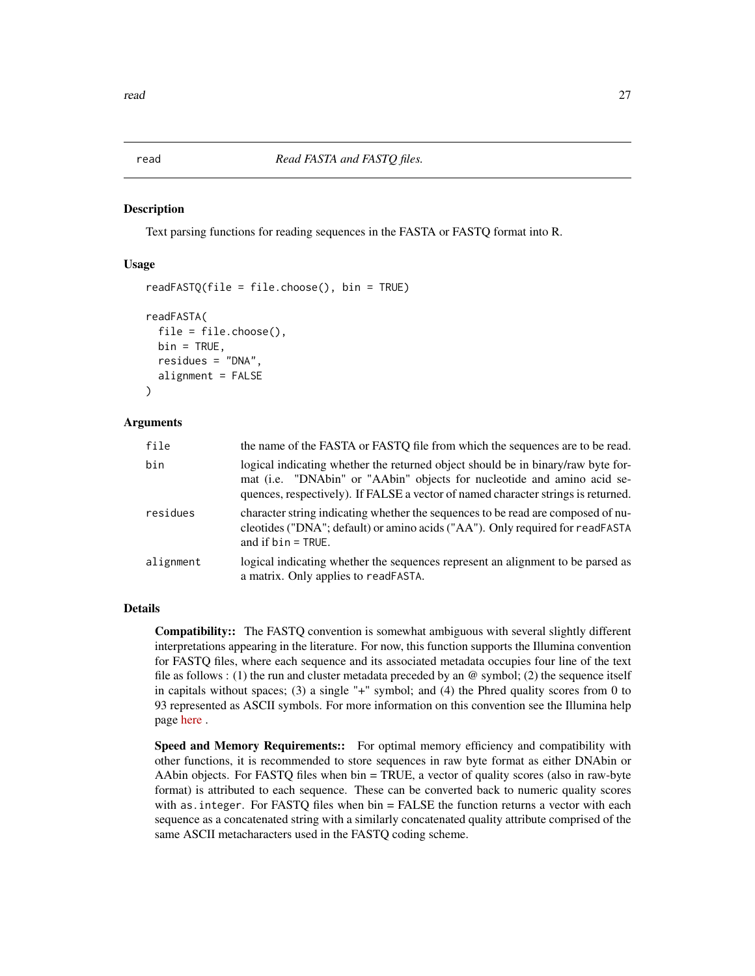<span id="page-26-0"></span>

#### <span id="page-26-1"></span>Description

Text parsing functions for reading sequences in the FASTA or FASTQ format into R.

#### Usage

```
readFASTQ(file = file.choose(), bin = TRUE)
readFASTA(
  file = file.choose(),
 bin = TRUE,residues = "DNA",
  alignment = FALSE
)
```
#### Arguments

| file      | the name of the FASTA or FASTO file from which the sequences are to be read.                                                                                                                                                                     |  |
|-----------|--------------------------------------------------------------------------------------------------------------------------------------------------------------------------------------------------------------------------------------------------|--|
| bin       | logical indicating whether the returned object should be in binary/raw byte for-<br>mat (i.e. "DNAbin" or "AAbin" objects for nucleotide and amino acid se-<br>quences, respectively). If FALSE a vector of named character strings is returned. |  |
| residues  | character string indicating whether the sequences to be read are composed of nu-<br>cleotides ("DNA"; default) or amino acids ("AA"). Only required for readFASTA<br>and if $bin = TRUE$ .                                                       |  |
| alignment | logical indicating whether the sequences represent an alignment to be parsed as<br>a matrix. Only applies to readFASTA.                                                                                                                          |  |

# Details

Compatibility:: The FASTQ convention is somewhat ambiguous with several slightly different interpretations appearing in the literature. For now, this function supports the Illumina convention for FASTQ files, where each sequence and its associated metadata occupies four line of the text file as follows : (1) the run and cluster metadata preceded by an  $\omega$  symbol; (2) the sequence itself in capitals without spaces; (3) a single "+" symbol; and (4) the Phred quality scores from 0 to 93 represented as ASCII symbols. For more information on this convention see the Illumina help page [here](https://help.basespace.illumina.com/articles/descriptive/fastq-files/) .

Speed and Memory Requirements:: For optimal memory efficiency and compatibility with other functions, it is recommended to store sequences in raw byte format as either DNAbin or AAbin objects. For FASTQ files when bin = TRUE, a vector of quality scores (also in raw-byte format) is attributed to each sequence. These can be converted back to numeric quality scores with as.integer. For FASTQ files when bin = FALSE the function returns a vector with each sequence as a concatenated string with a similarly concatenated quality attribute comprised of the same ASCII metacharacters used in the FASTQ coding scheme.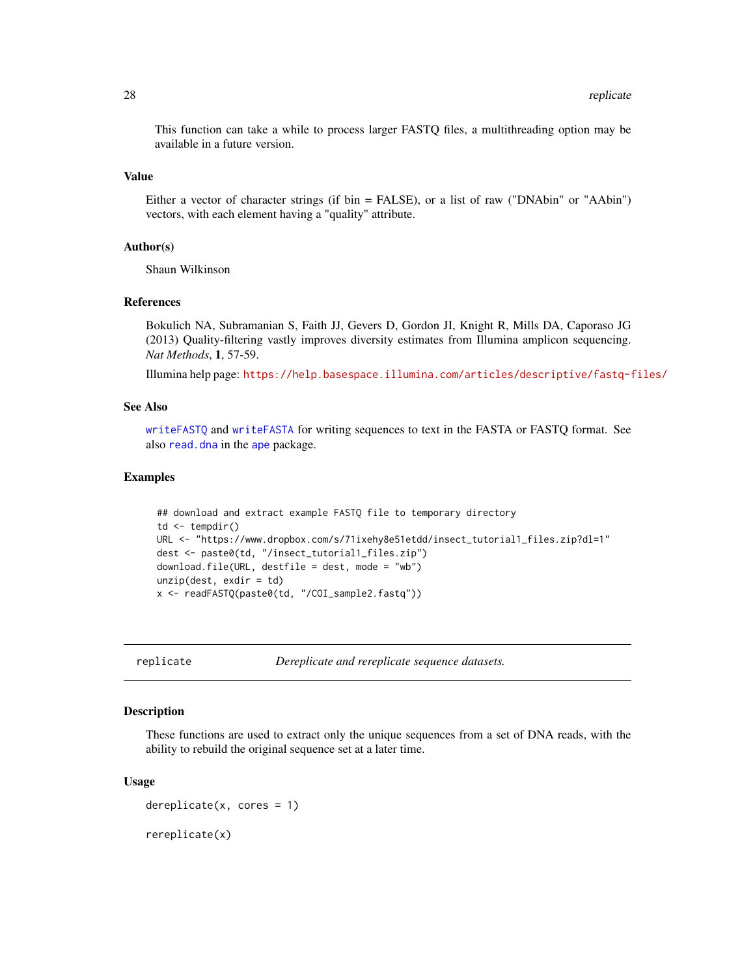<span id="page-27-0"></span>This function can take a while to process larger FASTQ files, a multithreading option may be available in a future version.

# Value

Either a vector of character strings (if bin = FALSE), or a list of raw ("DNAbin" or "AAbin") vectors, with each element having a "quality" attribute.

# Author(s)

Shaun Wilkinson

#### References

Bokulich NA, Subramanian S, Faith JJ, Gevers D, Gordon JI, Knight R, Mills DA, Caporaso JG (2013) Quality-filtering vastly improves diversity estimates from Illumina amplicon sequencing. *Nat Methods*, 1, 57-59.

Illumina help page: <https://help.basespace.illumina.com/articles/descriptive/fastq-files/>

#### See Also

[writeFASTQ](#page-40-1) and [writeFASTA](#page-40-1) for writing sequences to text in the FASTA or FASTQ format. See also [read.dna](#page-0-0) in the [ape](#page-0-0) package.

#### Examples

```
## download and extract example FASTQ file to temporary directory
td \leftarrow tempdir()URL <- "https://www.dropbox.com/s/71ixehy8e51etdd/insect_tutorial1_files.zip?dl=1"
dest <- paste0(td, "/insect_tutorial1_files.zip")
download.file(URL, destfile = dest, mode = "wb")
unzip(dest, exdir = td)
x <- readFASTQ(paste0(td, "/COI_sample2.fastq"))
```
replicate *Dereplicate and rereplicate sequence datasets.*

# Description

These functions are used to extract only the unique sequences from a set of DNA reads, with the ability to rebuild the original sequence set at a later time.

#### Usage

 $dereplicate(x, cores = 1)$ rereplicate(x)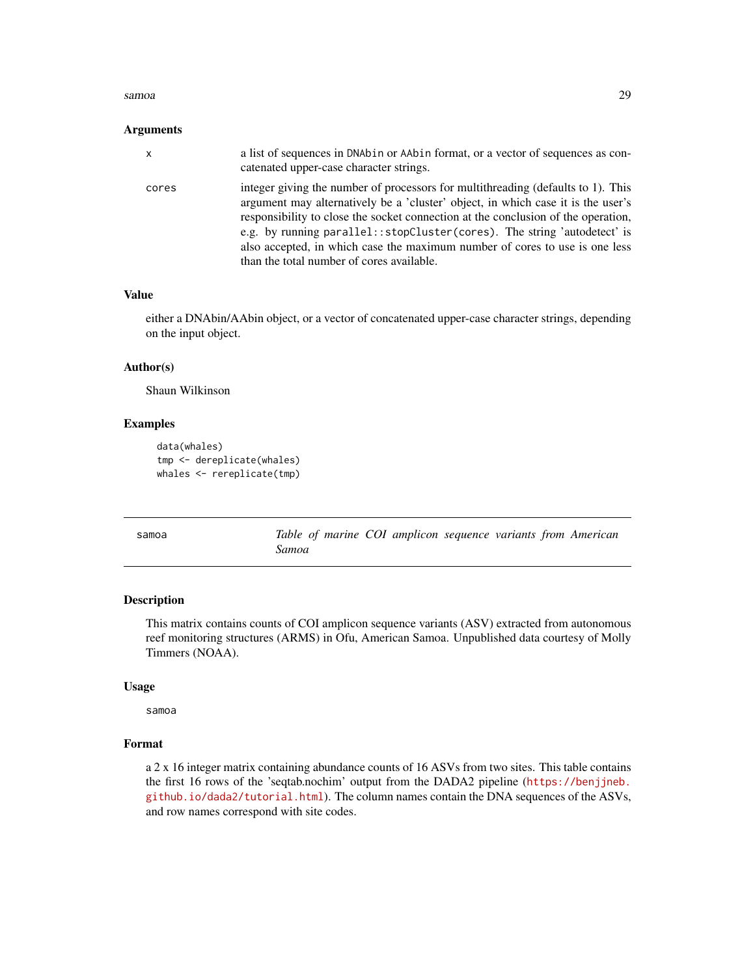#### <span id="page-28-0"></span>samoa 29

#### Arguments

| x     | a list of sequences in DNAbin or AAbin format, or a vector of sequences as con-<br>catenated upper-case character strings.                                                                                                                                                                                                                                                                                                                                          |
|-------|---------------------------------------------------------------------------------------------------------------------------------------------------------------------------------------------------------------------------------------------------------------------------------------------------------------------------------------------------------------------------------------------------------------------------------------------------------------------|
| cores | integer giving the number of processors for multithreading (defaults to 1). This<br>argument may alternatively be a 'cluster' object, in which case it is the user's<br>responsibility to close the socket connection at the conclusion of the operation,<br>e.g. by running parallel:: stopCluster (cores). The string 'autodetect' is<br>also accepted, in which case the maximum number of cores to use is one less<br>than the total number of cores available. |

#### Value

either a DNAbin/AAbin object, or a vector of concatenated upper-case character strings, depending on the input object.

## Author(s)

Shaun Wilkinson

# Examples

```
data(whales)
tmp <- dereplicate(whales)
whales <- rereplicate(tmp)
```

| samoa | Table of marine COI amplicon sequence variants from American |
|-------|--------------------------------------------------------------|
|       | Samoa                                                        |

# Description

This matrix contains counts of COI amplicon sequence variants (ASV) extracted from autonomous reef monitoring structures (ARMS) in Ofu, American Samoa. Unpublished data courtesy of Molly Timmers (NOAA).

#### Usage

samoa

#### Format

a 2 x 16 integer matrix containing abundance counts of 16 ASVs from two sites. This table contains the first 16 rows of the 'seqtab.nochim' output from the DADA2 pipeline ([https://benjjneb.](https://benjjneb.github.io/dada2/tutorial.html) [github.io/dada2/tutorial.html](https://benjjneb.github.io/dada2/tutorial.html)). The column names contain the DNA sequences of the ASVs, and row names correspond with site codes.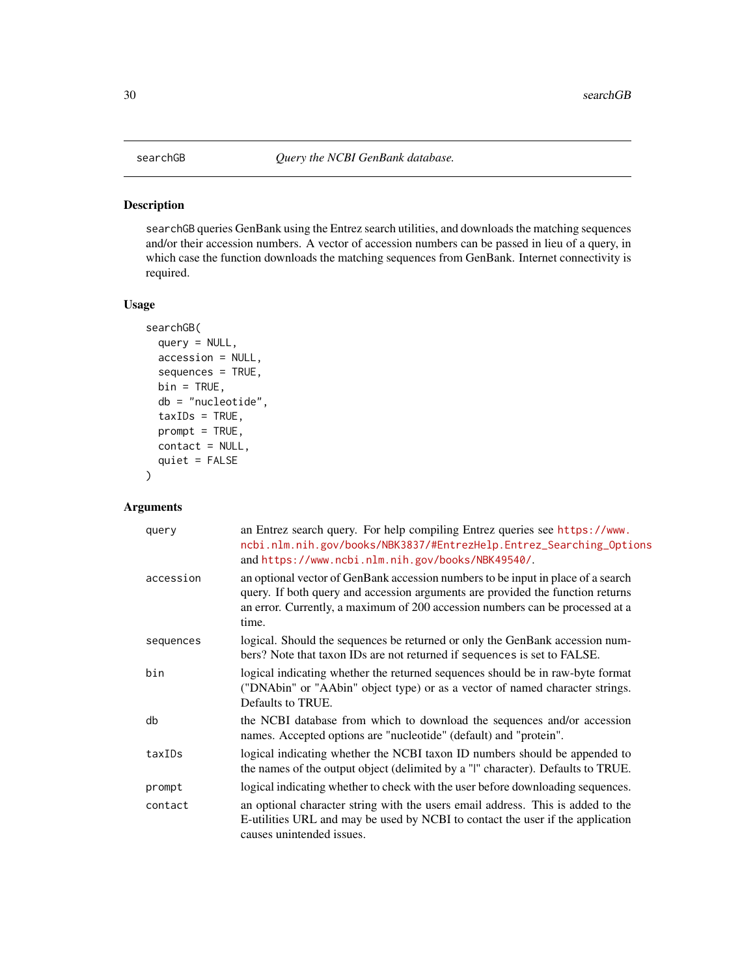#### <span id="page-29-1"></span><span id="page-29-0"></span>Description

searchGB queries GenBank using the Entrez search utilities, and downloads the matching sequences and/or their accession numbers. A vector of accession numbers can be passed in lieu of a query, in which case the function downloads the matching sequences from GenBank. Internet connectivity is required.

# Usage

```
searchGB(
 query = NULL,
  accession = NULL,
  sequences = TRUE,
 bin = TRUE,db = "nucleotide",
  taxIDS = TRUE,prompt = TRUE,contact = NULL,quiet = FALSE
\mathcal{L}
```
# Arguments

| query     | an Entrez search query. For help compiling Entrez queries see https://www.<br>ncbi.nlm.nih.gov/books/NBK3837/#EntrezHelp.Entrez_Searching_Options<br>and https://www.ncbi.nlm.nih.gov/books/NBK49540/.                                                       |
|-----------|--------------------------------------------------------------------------------------------------------------------------------------------------------------------------------------------------------------------------------------------------------------|
| accession | an optional vector of GenBank accession numbers to be input in place of a search<br>query. If both query and accession arguments are provided the function returns<br>an error. Currently, a maximum of 200 accession numbers can be processed at a<br>time. |
| sequences | logical. Should the sequences be returned or only the GenBank accession num-<br>bers? Note that taxon IDs are not returned if sequences is set to FALSE.                                                                                                     |
| bin       | logical indicating whether the returned sequences should be in raw-byte format<br>("DNAbin" or "AAbin" object type) or as a vector of named character strings.<br>Defaults to TRUE.                                                                          |
| db        | the NCBI database from which to download the sequences and/or accession<br>names. Accepted options are "nucleotide" (default) and "protein".                                                                                                                 |
| taxIDs    | logical indicating whether the NCBI taxon ID numbers should be appended to<br>the names of the output object (delimited by a "I" character). Defaults to TRUE.                                                                                               |
| prompt    | logical indicating whether to check with the user before downloading sequences.                                                                                                                                                                              |
| contact   | an optional character string with the users email address. This is added to the<br>E-utilities URL and may be used by NCBI to contact the user if the application<br>causes unintended issues.                                                               |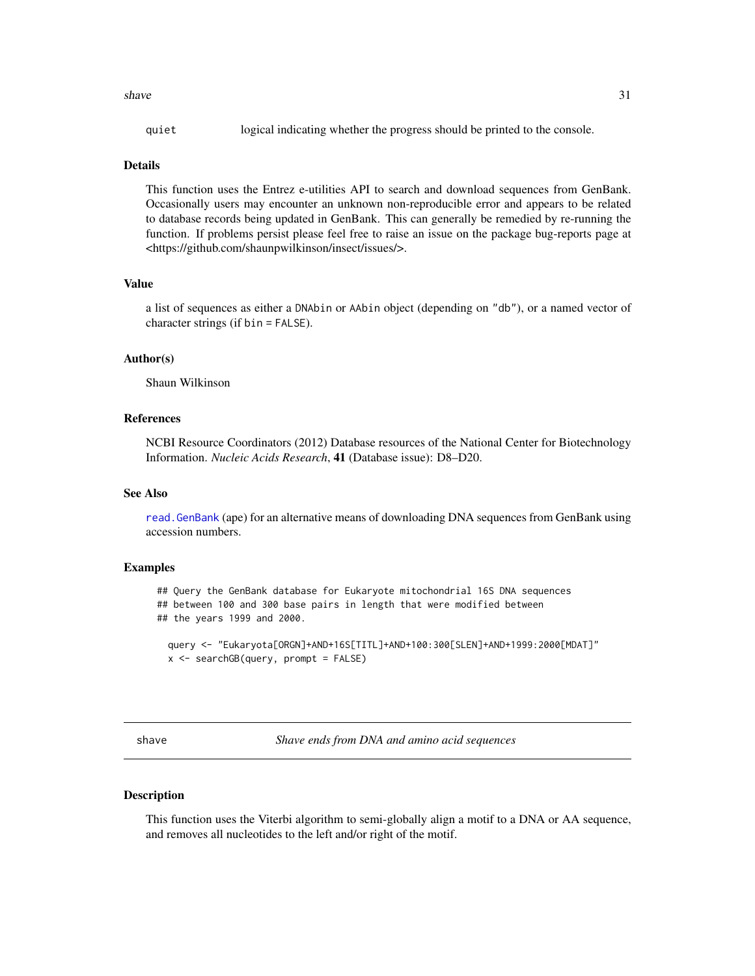<span id="page-30-0"></span>shave  $31$ 

| quiet |  |  |  | logical indicating whether the progress should be printed to the console. |
|-------|--|--|--|---------------------------------------------------------------------------|
|       |  |  |  |                                                                           |

#### Details

This function uses the Entrez e-utilities API to search and download sequences from GenBank. Occasionally users may encounter an unknown non-reproducible error and appears to be related to database records being updated in GenBank. This can generally be remedied by re-running the function. If problems persist please feel free to raise an issue on the package bug-reports page at <https://github.com/shaunpwilkinson/insect/issues/>.

# Value

a list of sequences as either a DNAbin or AAbin object (depending on "db"), or a named vector of character strings (if bin = FALSE).

# Author(s)

Shaun Wilkinson

### References

NCBI Resource Coordinators (2012) Database resources of the National Center for Biotechnology Information. *Nucleic Acids Research*, 41 (Database issue): D8–D20.

#### See Also

[read.GenBank](#page-0-0) (ape) for an alternative means of downloading DNA sequences from GenBank using accession numbers.

# Examples

## Query the GenBank database for Eukaryote mitochondrial 16S DNA sequences ## between 100 and 300 base pairs in length that were modified between ## the years 1999 and 2000.

query <- "Eukaryota[ORGN]+AND+16S[TITL]+AND+100:300[SLEN]+AND+1999:2000[MDAT]"  $x$  <- searchGB(query, prompt = FALSE)

shave *Shave ends from DNA and amino acid sequences*

#### Description

This function uses the Viterbi algorithm to semi-globally align a motif to a DNA or AA sequence, and removes all nucleotides to the left and/or right of the motif.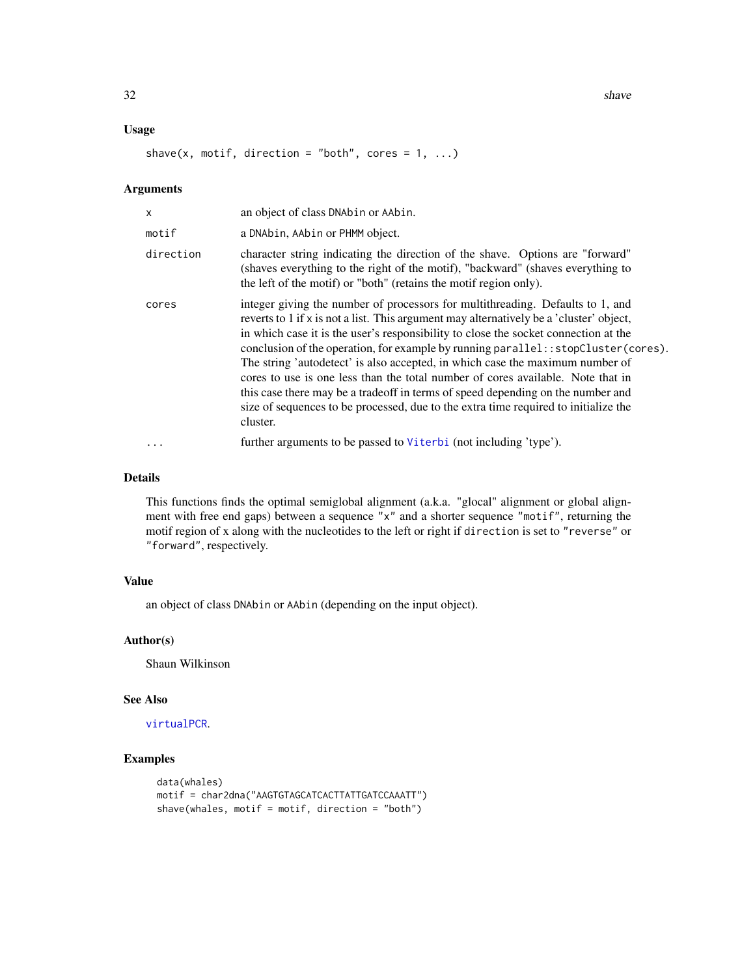<span id="page-31-0"></span>32 shave share that the state of the state of the state of the state of the state of the state of the state of the state of the state of the state of the state of the state of the state of the state of the state of the sta

# Usage

shave(x, motif, direction = "both", cores =  $1, ...$ )

# Arguments

| X         | an object of class DNAbin or AAbin.                                                                                                                                                                                                                                                                                                                                                                                                                                                                                                                                                                                                                                                                              |
|-----------|------------------------------------------------------------------------------------------------------------------------------------------------------------------------------------------------------------------------------------------------------------------------------------------------------------------------------------------------------------------------------------------------------------------------------------------------------------------------------------------------------------------------------------------------------------------------------------------------------------------------------------------------------------------------------------------------------------------|
| motif     | a DNAbin, AAbin or PHMM object.                                                                                                                                                                                                                                                                                                                                                                                                                                                                                                                                                                                                                                                                                  |
| direction | character string indicating the direction of the shave. Options are "forward"<br>(shaves everything to the right of the motif), "backward" (shaves everything to<br>the left of the motif) or "both" (retains the motif region only).                                                                                                                                                                                                                                                                                                                                                                                                                                                                            |
| cores     | integer giving the number of processors for multithreading. Defaults to 1, and<br>reverts to 1 if x is not a list. This argument may alternatively be a 'cluster' object,<br>in which case it is the user's responsibility to close the socket connection at the<br>conclusion of the operation, for example by running parallel:: stopCluster(cores).<br>The string 'autodetect' is also accepted, in which case the maximum number of<br>cores to use is one less than the total number of cores available. Note that in<br>this case there may be a tradeoff in terms of speed depending on the number and<br>size of sequences to be processed, due to the extra time required to initialize the<br>cluster. |
| $\ddots$  | further arguments to be passed to Viterbi (not including 'type').                                                                                                                                                                                                                                                                                                                                                                                                                                                                                                                                                                                                                                                |

# Details

This functions finds the optimal semiglobal alignment (a.k.a. "glocal" alignment or global alignment with free end gaps) between a sequence "x" and a shorter sequence "motif", returning the motif region of x along with the nucleotides to the left or right if direction is set to "reverse" or "forward", respectively.

# Value

an object of class DNAbin or AAbin (depending on the input object).

#### Author(s)

Shaun Wilkinson

#### See Also

[virtualPCR](#page-37-1).

# Examples

```
data(whales)
motif = char2dna("AAGTGTAGCATCACTTATTGATCCAAATT")
shave(whales, motif = motif, direction = "both")
```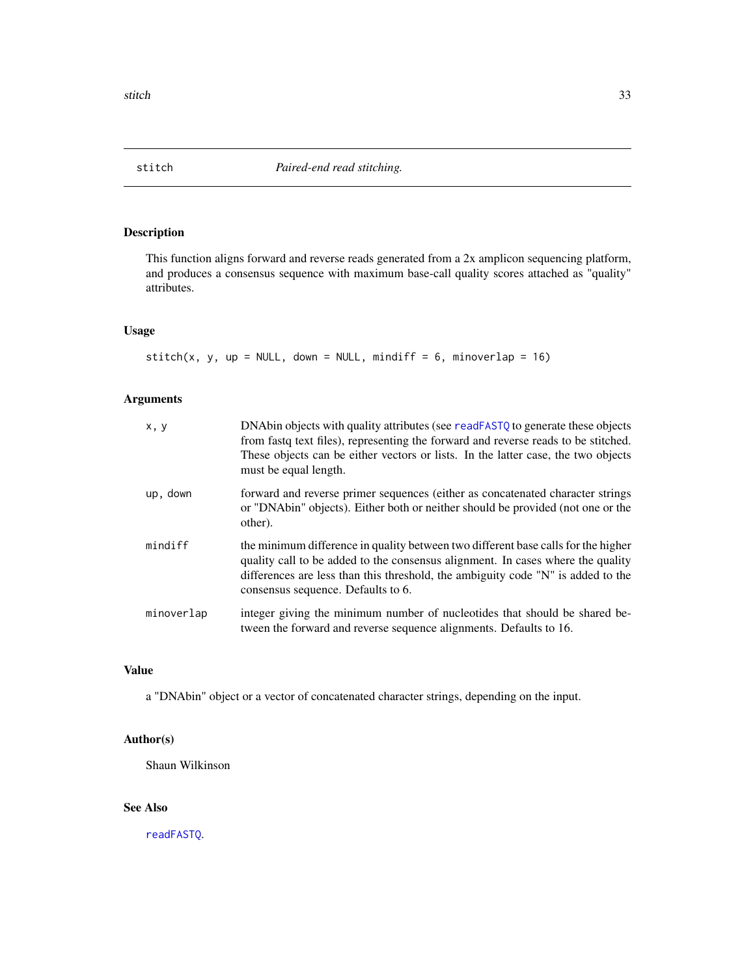<span id="page-32-0"></span>

# Description

This function aligns forward and reverse reads generated from a 2x amplicon sequencing platform, and produces a consensus sequence with maximum base-call quality scores attached as "quality" attributes.

# Usage

stitch(x, y, up = NULL, down = NULL, mindiff = 6, minoverlap = 16)

# Arguments

| x, y       | DNAbin objects with quality attributes (see readFASTQ to generate these objects<br>from fastq text files), representing the forward and reverse reads to be stitched.<br>These objects can be either vectors or lists. In the latter case, the two objects<br>must be equal length.            |
|------------|------------------------------------------------------------------------------------------------------------------------------------------------------------------------------------------------------------------------------------------------------------------------------------------------|
| up, down   | forward and reverse primer sequences (either as concatenated character strings)<br>or "DNAbin" objects). Either both or neither should be provided (not one or the<br>other).                                                                                                                  |
| mindiff    | the minimum difference in quality between two different base calls for the higher<br>quality call to be added to the consensus alignment. In cases where the quality<br>differences are less than this threshold, the ambiguity code "N" is added to the<br>consensus sequence. Defaults to 6. |
| minoverlap | integer giving the minimum number of nucleotides that should be shared be-<br>tween the forward and reverse sequence alignments. Defaults to 16.                                                                                                                                               |

### Value

a "DNAbin" object or a vector of concatenated character strings, depending on the input.

# Author(s)

Shaun Wilkinson

# See Also

[readFASTQ](#page-26-1).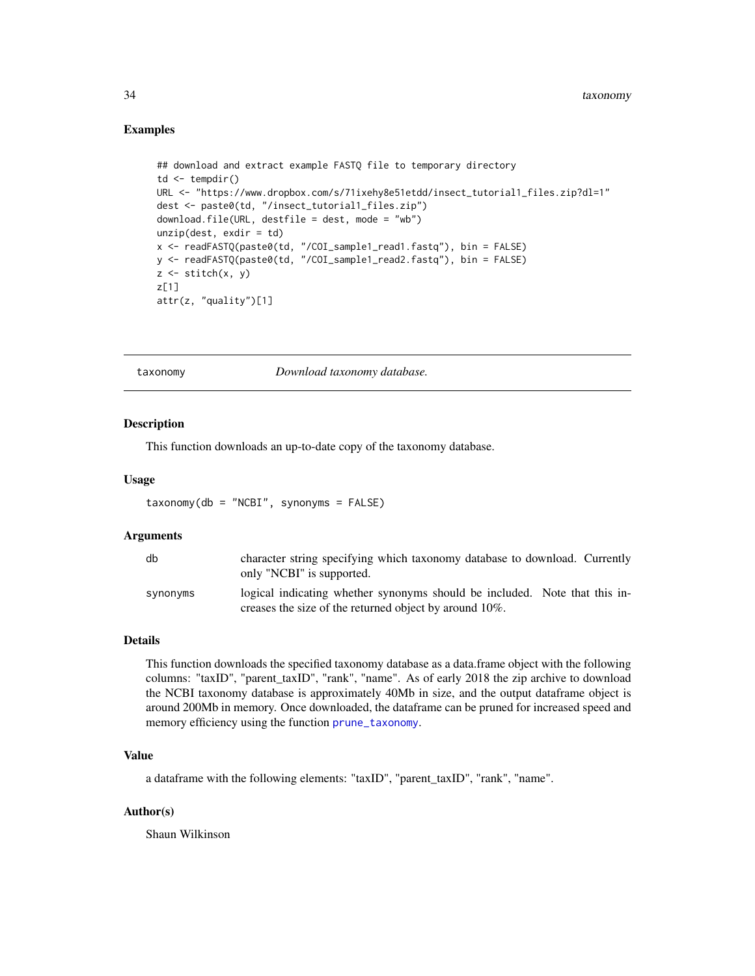#### <span id="page-33-0"></span>Examples

```
## download and extract example FASTQ file to temporary directory
td \leftarrow tempdir()URL <- "https://www.dropbox.com/s/71ixehy8e51etdd/insect_tutorial1_files.zip?dl=1"
dest <- paste0(td, "/insect_tutorial1_files.zip")
download.file(URL, destfile = dest, mode = "wb")
unzip(dest, exit)x <- readFASTQ(paste0(td, "/COI_sample1_read1.fastq"), bin = FALSE)
y <- readFASTQ(paste0(td, "/COI_sample1_read2.fastq"), bin = FALSE)
z \leftarrow \text{stitch}(x, y)z[1]
attr(z, "quality")[1]
```
<span id="page-33-1"></span>

taxonomy *Download taxonomy database.*

#### Description

This function downloads an up-to-date copy of the taxonomy database.

#### Usage

taxonomy(db = "NCBI", synonyms = FALSE)

#### Arguments

| db       | character string specifying which taxonomy database to download. Currently<br>only "NCBI" is supported.                              |
|----------|--------------------------------------------------------------------------------------------------------------------------------------|
| synonyms | logical indicating whether synonyms should be included. Note that this in-<br>creases the size of the returned object by around 10%. |

#### Details

This function downloads the specified taxonomy database as a data.frame object with the following columns: "taxID", "parent\_taxID", "rank", "name". As of early 2018 the zip archive to download the NCBI taxonomy database is approximately 40Mb in size, and the output dataframe object is around 200Mb in memory. Once downloaded, the dataframe can be pruned for increased speed and memory efficiency using the function [prune\\_taxonomy](#page-21-1).

# Value

a dataframe with the following elements: "taxID", "parent\_taxID", "rank", "name".

#### Author(s)

Shaun Wilkinson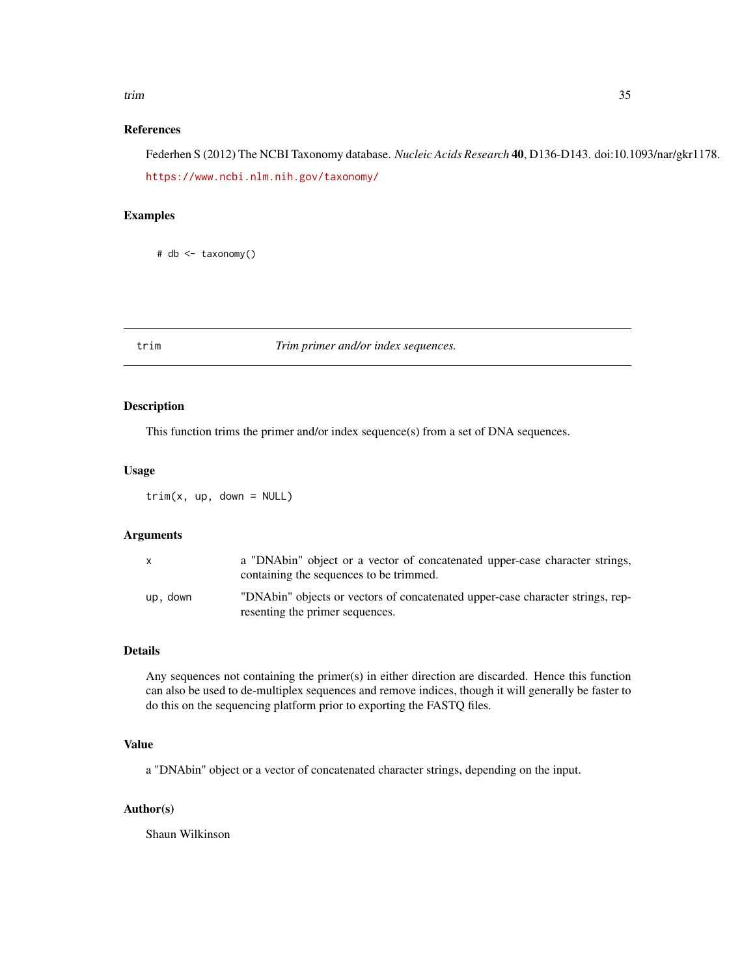#### <span id="page-34-0"></span>trim 35

# References

Federhen S (2012) The NCBI Taxonomy database. *Nucleic Acids Research* 40, D136-D143. doi:10.1093/nar/gkr1178. <https://www.ncbi.nlm.nih.gov/taxonomy/>

# Examples

# db <- taxonomy()

trim *Trim primer and/or index sequences.*

# Description

This function trims the primer and/or index sequence(s) from a set of DNA sequences.

#### Usage

 $trim(x, up, down = NULL)$ 

# Arguments

|          | a "DNAbin" object or a vector of concatenated upper-case character strings,<br>containing the sequences to be trimmed. |
|----------|------------------------------------------------------------------------------------------------------------------------|
| up, down | "DNAbin" objects or vectors of concatenated upper-case character strings, rep-<br>resenting the primer sequences.      |

# Details

Any sequences not containing the primer(s) in either direction are discarded. Hence this function can also be used to de-multiplex sequences and remove indices, though it will generally be faster to do this on the sequencing platform prior to exporting the FASTQ files.

# Value

a "DNAbin" object or a vector of concatenated character strings, depending on the input.

#### Author(s)

Shaun Wilkinson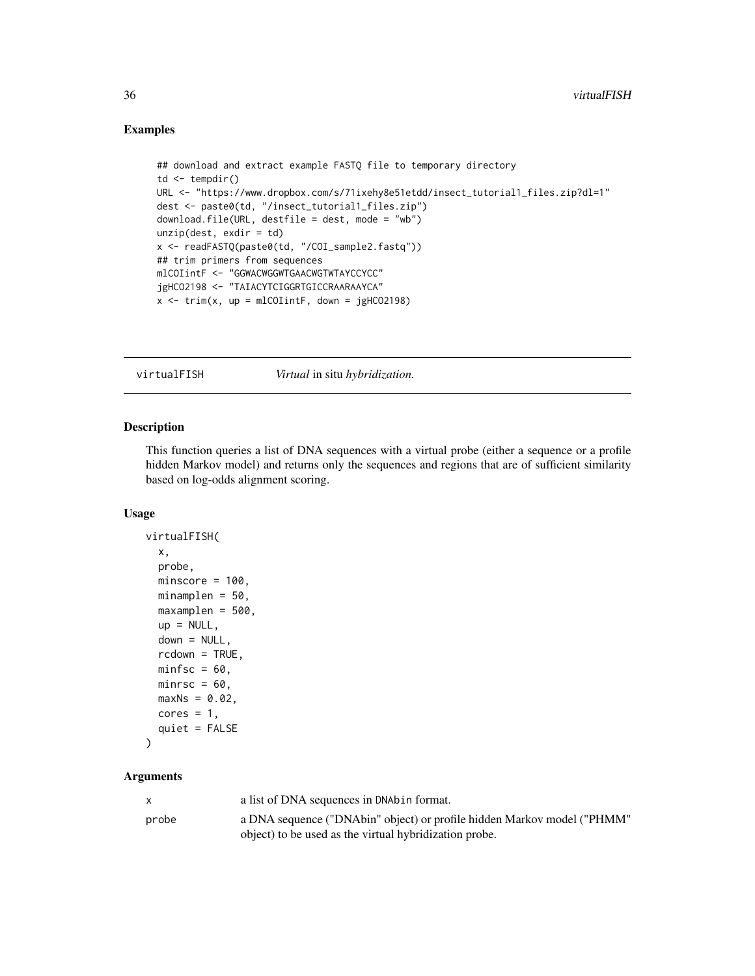### Examples

```
## download and extract example FASTQ file to temporary directory
td <- tempdir()
URL <- "https://www.dropbox.com/s/71ixehy8e51etdd/insect_tutorial1_files.zip?dl=1"
dest <- paste0(td, "/insect_tutorial1_files.zip")
download.file(URL, destfile = dest, mode = "wb")
unzip(dest, exdir = td)
x <- readFASTQ(paste0(td, "/COI_sample2.fastq"))
## trim primers from sequences
mlCOIintF <- "GGWACWGGWTGAACWGTWTAYCCYCC"
jgHCO2198 <- "TAIACYTCIGGRTGICCRAARAAYCA"
x \le -\text{trim}(x, \text{ up} = \text{mlColintF}, \text{ down} = \text{jgl}lCO2198)
```
virtualFISH *Virtual* in situ *hybridization.*

### Description

This function queries a list of DNA sequences with a virtual probe (either a sequence or a profile hidden Markov model) and returns only the sequences and regions that are of sufficient similarity based on log-odds alignment scoring.

#### Usage

```
virtualFISH(
  x,
  probe,
 minscore = 100,
 minamplen = 50,
 maxamplen = 500,
  up = NULL,down = NULL,rcdown = TRUE,
  minfsc = 60,
 minrsc = 60,
 maxNs = 0.02,
  cores = 1,
  quiet = FALSE)
```
#### Arguments

|       | a list of DNA sequences in DNAbin format.                               |
|-------|-------------------------------------------------------------------------|
| probe | a DNA sequence ("DNAbin" object) or profile hidden Markov model ("PHMM" |
|       | object) to be used as the virtual hybridization probe.                  |

<span id="page-35-0"></span>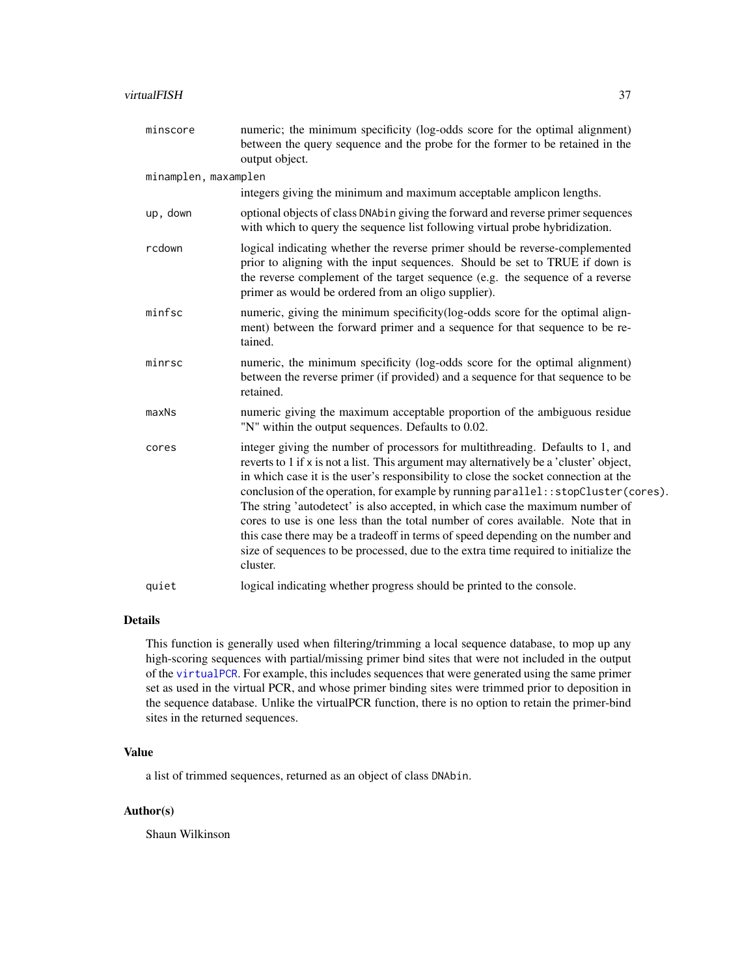#### <span id="page-36-0"></span>virtualFISH 37

| minscore             | numeric; the minimum specificity (log-odds score for the optimal alignment)<br>between the query sequence and the probe for the former to be retained in the<br>output object.                                                                                                                                                                                                                                                                                                                                                                                                                                                                                                                                   |  |  |
|----------------------|------------------------------------------------------------------------------------------------------------------------------------------------------------------------------------------------------------------------------------------------------------------------------------------------------------------------------------------------------------------------------------------------------------------------------------------------------------------------------------------------------------------------------------------------------------------------------------------------------------------------------------------------------------------------------------------------------------------|--|--|
| minamplen, maxamplen |                                                                                                                                                                                                                                                                                                                                                                                                                                                                                                                                                                                                                                                                                                                  |  |  |
|                      | integers giving the minimum and maximum acceptable amplicon lengths.                                                                                                                                                                                                                                                                                                                                                                                                                                                                                                                                                                                                                                             |  |  |
| up, down             | optional objects of class DNAbin giving the forward and reverse primer sequences<br>with which to query the sequence list following virtual probe hybridization.                                                                                                                                                                                                                                                                                                                                                                                                                                                                                                                                                 |  |  |
| rcdown               | logical indicating whether the reverse primer should be reverse-complemented<br>prior to aligning with the input sequences. Should be set to TRUE if down is<br>the reverse complement of the target sequence (e.g. the sequence of a reverse<br>primer as would be ordered from an oligo supplier).                                                                                                                                                                                                                                                                                                                                                                                                             |  |  |
| minfsc               | numeric, giving the minimum specificity (log-odds score for the optimal align-<br>ment) between the forward primer and a sequence for that sequence to be re-<br>tained.                                                                                                                                                                                                                                                                                                                                                                                                                                                                                                                                         |  |  |
| minrsc               | numeric, the minimum specificity (log-odds score for the optimal alignment)<br>between the reverse primer (if provided) and a sequence for that sequence to be<br>retained.                                                                                                                                                                                                                                                                                                                                                                                                                                                                                                                                      |  |  |
| maxNs                | numeric giving the maximum acceptable proportion of the ambiguous residue<br>"N" within the output sequences. Defaults to 0.02.                                                                                                                                                                                                                                                                                                                                                                                                                                                                                                                                                                                  |  |  |
| cores                | integer giving the number of processors for multithreading. Defaults to 1, and<br>reverts to 1 if x is not a list. This argument may alternatively be a 'cluster' object,<br>in which case it is the user's responsibility to close the socket connection at the<br>conclusion of the operation, for example by running parallel:: stopCluster(cores).<br>The string 'autodetect' is also accepted, in which case the maximum number of<br>cores to use is one less than the total number of cores available. Note that in<br>this case there may be a tradeoff in terms of speed depending on the number and<br>size of sequences to be processed, due to the extra time required to initialize the<br>cluster. |  |  |
| quiet                | logical indicating whether progress should be printed to the console.                                                                                                                                                                                                                                                                                                                                                                                                                                                                                                                                                                                                                                            |  |  |

# Details

This function is generally used when filtering/trimming a local sequence database, to mop up any high-scoring sequences with partial/missing primer bind sites that were not included in the output of the [virtualPCR](#page-37-1). For example, this includes sequences that were generated using the same primer set as used in the virtual PCR, and whose primer binding sites were trimmed prior to deposition in the sequence database. Unlike the virtualPCR function, there is no option to retain the primer-bind sites in the returned sequences.

# Value

a list of trimmed sequences, returned as an object of class DNAbin.

# Author(s)

Shaun Wilkinson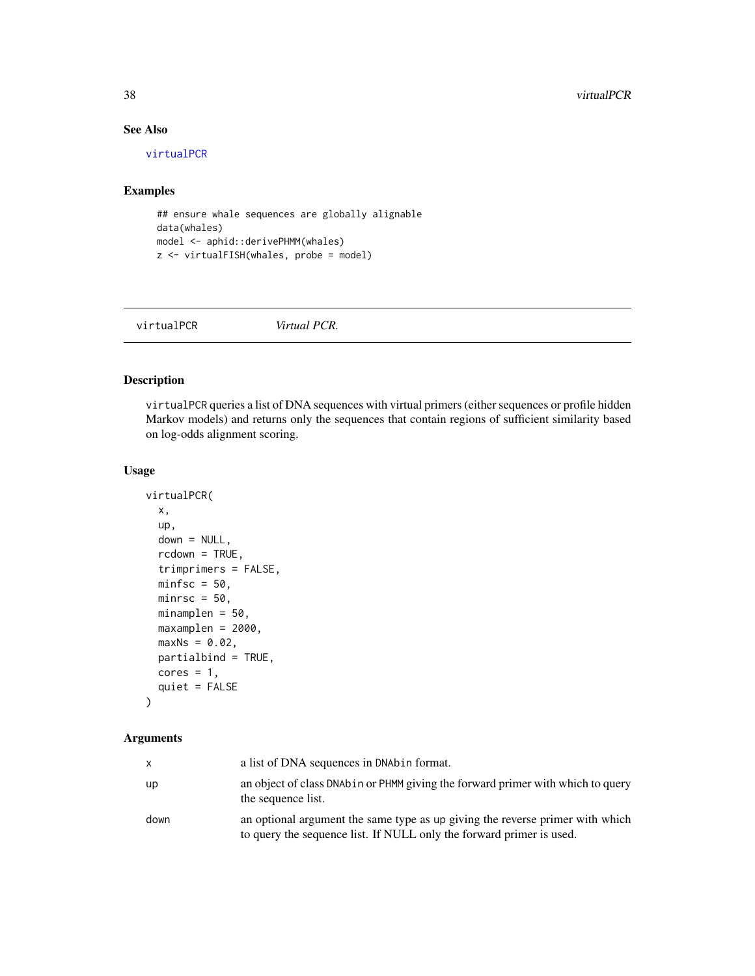# See Also

[virtualPCR](#page-37-1)

# Examples

```
## ensure whale sequences are globally alignable
data(whales)
model <- aphid::derivePHMM(whales)
z <- virtualFISH(whales, probe = model)
```
<span id="page-37-1"></span>

| virtualPCR | Virtual PCR. |  |
|------------|--------------|--|
|            |              |  |

# Description

virtualPCR queries a list of DNA sequences with virtual primers (either sequences or profile hidden Markov models) and returns only the sequences that contain regions of sufficient similarity based on log-odds alignment scoring.

# Usage

```
virtualPCR(
  x,
  up,
  down = NULL,rcdown = TRUE,trimprimers = FALSE,
 minfsc = 50,
 minrsc = 50,
 minamplen = 50,
 maxamplen = 2000,
 maxNs = 0.02,
 partialbind = TRUE,
  cores = 1,quiet = FALSE
\mathcal{L}
```
# Arguments

|      | a list of DNA sequences in DNAbin format.                                                                                                             |
|------|-------------------------------------------------------------------------------------------------------------------------------------------------------|
| up   | an object of class DNAbin or PHMM giving the forward primer with which to query<br>the sequence list.                                                 |
| down | an optional argument the same type as up giving the reverse primer with which<br>to query the sequence list. If NULL only the forward primer is used. |

<span id="page-37-0"></span>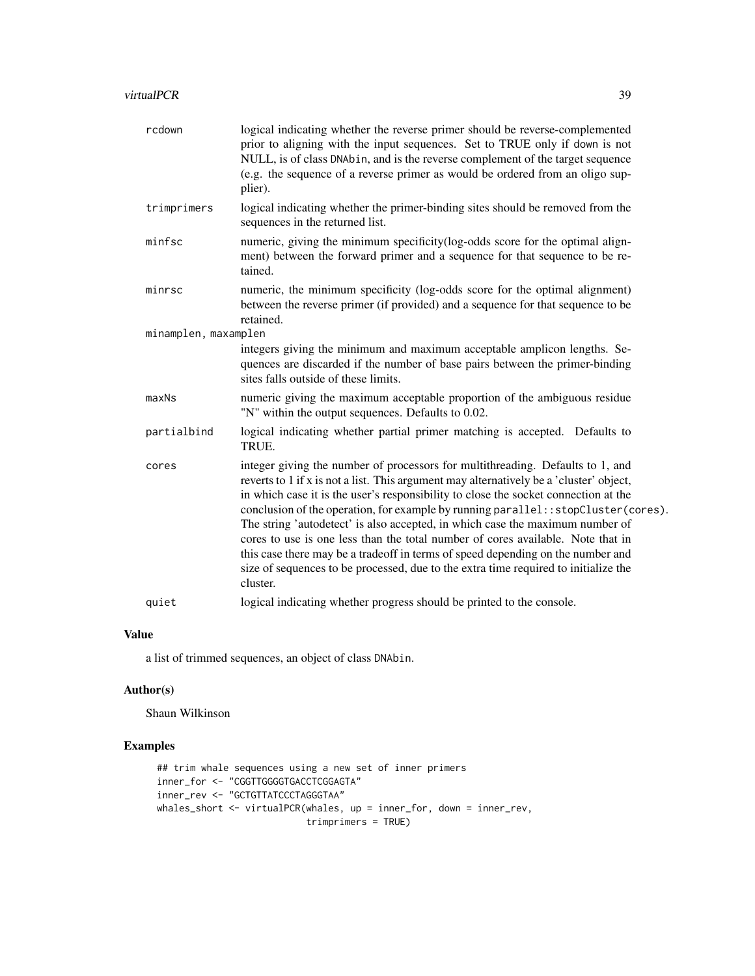| rcdown               | logical indicating whether the reverse primer should be reverse-complemented<br>prior to aligning with the input sequences. Set to TRUE only if down is not<br>NULL, is of class DNAbin, and is the reverse complement of the target sequence<br>(e.g. the sequence of a reverse primer as would be ordered from an oligo sup-<br>plier).                                                                                                                                                                                                                                                                                                                                                                          |
|----------------------|--------------------------------------------------------------------------------------------------------------------------------------------------------------------------------------------------------------------------------------------------------------------------------------------------------------------------------------------------------------------------------------------------------------------------------------------------------------------------------------------------------------------------------------------------------------------------------------------------------------------------------------------------------------------------------------------------------------------|
| trimprimers          | logical indicating whether the primer-binding sites should be removed from the<br>sequences in the returned list.                                                                                                                                                                                                                                                                                                                                                                                                                                                                                                                                                                                                  |
| minfsc               | numeric, giving the minimum specificity (log-odds score for the optimal align-<br>ment) between the forward primer and a sequence for that sequence to be re-<br>tained.                                                                                                                                                                                                                                                                                                                                                                                                                                                                                                                                           |
| minrsc               | numeric, the minimum specificity (log-odds score for the optimal alignment)<br>between the reverse primer (if provided) and a sequence for that sequence to be<br>retained.                                                                                                                                                                                                                                                                                                                                                                                                                                                                                                                                        |
| minamplen, maxamplen |                                                                                                                                                                                                                                                                                                                                                                                                                                                                                                                                                                                                                                                                                                                    |
|                      | integers giving the minimum and maximum acceptable amplicon lengths. Se-<br>quences are discarded if the number of base pairs between the primer-binding<br>sites falls outside of these limits.                                                                                                                                                                                                                                                                                                                                                                                                                                                                                                                   |
| maxNs                | numeric giving the maximum acceptable proportion of the ambiguous residue<br>"N" within the output sequences. Defaults to 0.02.                                                                                                                                                                                                                                                                                                                                                                                                                                                                                                                                                                                    |
| partialbind          | logical indicating whether partial primer matching is accepted. Defaults to<br>TRUE.                                                                                                                                                                                                                                                                                                                                                                                                                                                                                                                                                                                                                               |
| cores                | integer giving the number of processors for multithreading. Defaults to 1, and<br>reverts to 1 if x is not a list. This argument may alternatively be a 'cluster' object,<br>in which case it is the user's responsibility to close the socket connection at the<br>conclusion of the operation, for example by running parallel: : stopCluster (cores).<br>The string 'autodetect' is also accepted, in which case the maximum number of<br>cores to use is one less than the total number of cores available. Note that in<br>this case there may be a tradeoff in terms of speed depending on the number and<br>size of sequences to be processed, due to the extra time required to initialize the<br>cluster. |
| quiet                | logical indicating whether progress should be printed to the console.                                                                                                                                                                                                                                                                                                                                                                                                                                                                                                                                                                                                                                              |

# Value

a list of trimmed sequences, an object of class DNAbin.

# Author(s)

Shaun Wilkinson

# Examples

```
## trim whale sequences using a new set of inner primers
inner_for <- "CGGTTGGGGTGACCTCGGAGTA"
inner_rev <- "GCTGTTATCCCTAGGGTAA"
whales_short <- virtualPCR(whales, up = inner_for, down = inner_rev,
                          trimprimers = TRUE)
```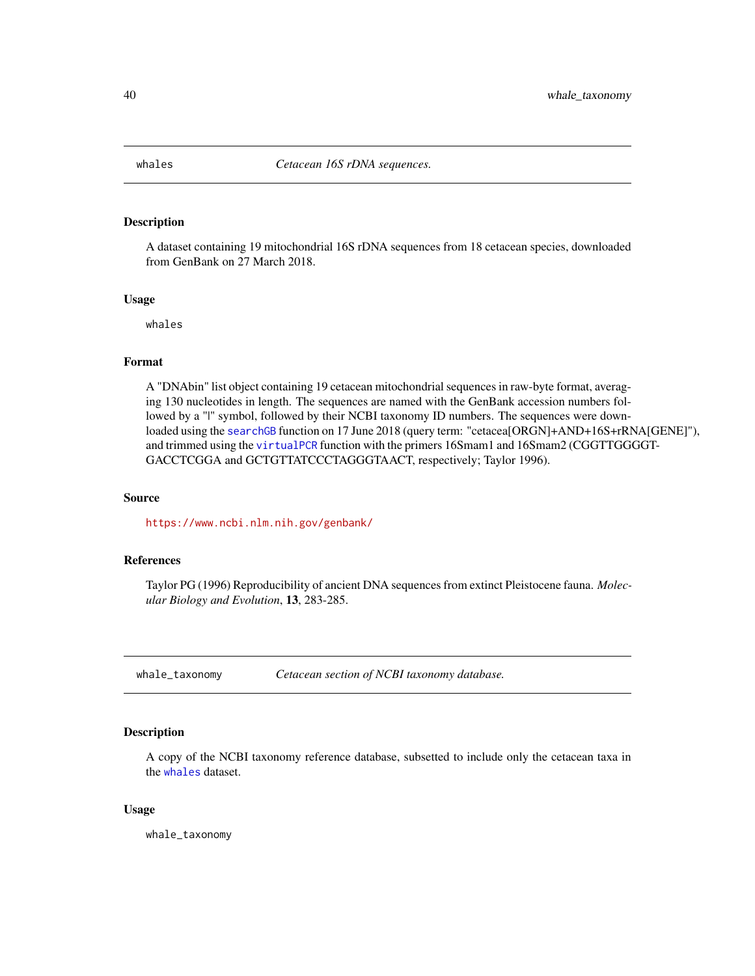<span id="page-39-1"></span><span id="page-39-0"></span>

# Description

A dataset containing 19 mitochondrial 16S rDNA sequences from 18 cetacean species, downloaded from GenBank on 27 March 2018.

#### Usage

whales

# Format

A "DNAbin" list object containing 19 cetacean mitochondrial sequences in raw-byte format, averaging 130 nucleotides in length. The sequences are named with the GenBank accession numbers followed by a "|" symbol, followed by their NCBI taxonomy ID numbers. The sequences were downloaded using the [searchGB](#page-29-1) function on 17 June 2018 (query term: "cetacea[ORGN]+AND+16S+rRNA[GENE]"), and trimmed using the [virtualPCR](#page-37-1) function with the primers 16Smam1 and 16Smam2 (CGGTTGGGGT-GACCTCGGA and GCTGTTATCCCTAGGGTAACT, respectively; Taylor 1996).

#### Source

<https://www.ncbi.nlm.nih.gov/genbank/>

#### References

Taylor PG (1996) Reproducibility of ancient DNA sequences from extinct Pleistocene fauna. *Molecular Biology and Evolution*, 13, 283-285.

whale\_taxonomy *Cetacean section of NCBI taxonomy database.*

# Description

A copy of the NCBI taxonomy reference database, subsetted to include only the cetacean taxa in the [whales](#page-39-1) dataset.

#### Usage

whale\_taxonomy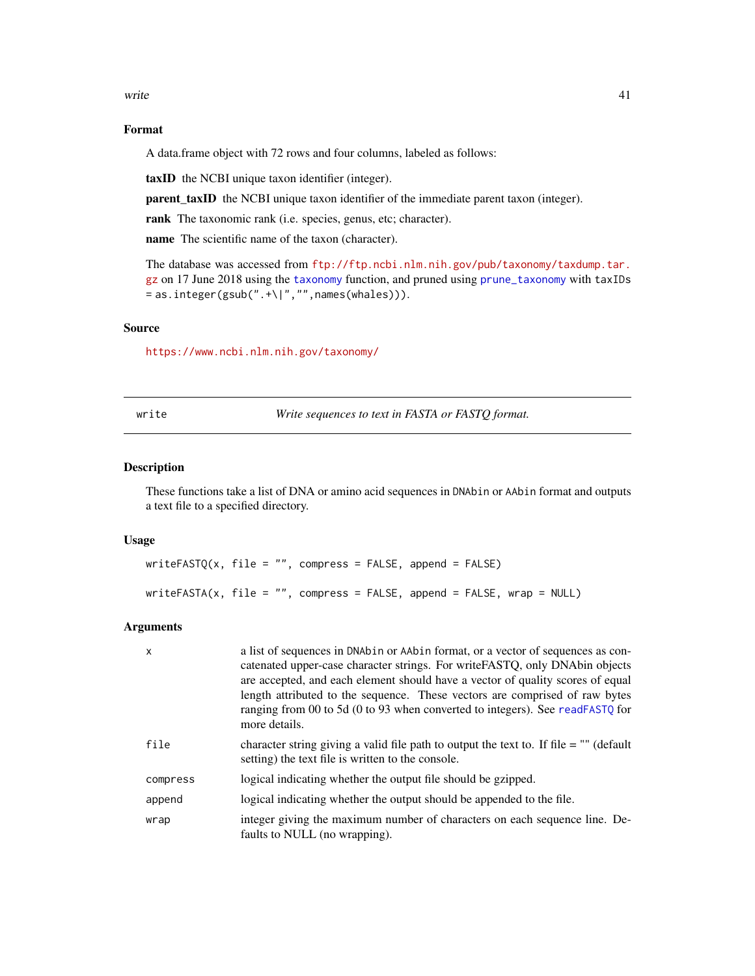<span id="page-40-0"></span>write the contract of the contract of the contract of the contract of the contract of the contract of the contract of the contract of the contract of the contract of the contract of the contract of the contract of the cont

# Format

A data.frame object with 72 rows and four columns, labeled as follows:

taxID the NCBI unique taxon identifier (integer).

parent\_taxID the NCBI unique taxon identifier of the immediate parent taxon (integer).

rank The taxonomic rank (i.e. species, genus, etc; character).

name The scientific name of the taxon (character).

The database was accessed from [ftp://ftp.ncbi.nlm.nih.gov/pub/taxonomy/taxdump.tar.](ftp://ftp.ncbi.nlm.nih.gov/pub/taxonomy/taxdump.tar.gz) [gz](ftp://ftp.ncbi.nlm.nih.gov/pub/taxonomy/taxdump.tar.gz) on 17 June 2018 using the [taxonomy](#page-33-1) function, and pruned using [prune\\_taxonomy](#page-21-1) with taxIDs  $=$  as.integer(gsub(".+\|","",names(whales))).

#### Source

<https://www.ncbi.nlm.nih.gov/taxonomy/>

write *Write sequences to text in FASTA or FASTQ format.*

# <span id="page-40-1"></span>Description

These functions take a list of DNA or amino acid sequences in DNAbin or AAbin format and outputs a text file to a specified directory.

#### Usage

```
writeFASTQ(x, file = ", compress = FALSE, append = FALSE)
writeFASTA(x, file = ", compress = FALSE, append = FALSE, wrap = NULL)
```
# Arguments

| X        | a list of sequences in DNAbin or AAbin format, or a vector of sequences as con-<br>catenated upper-case character strings. For write FASTQ, only DNAbin objects<br>are accepted, and each element should have a vector of quality scores of equal<br>length attributed to the sequence. These vectors are comprised of raw bytes<br>ranging from 00 to 5d (0 to 93 when converted to integers). See readFASTQ for<br>more details. |
|----------|------------------------------------------------------------------------------------------------------------------------------------------------------------------------------------------------------------------------------------------------------------------------------------------------------------------------------------------------------------------------------------------------------------------------------------|
| file     | character string giving a valid file path to output the text to. If file $=$ "" (default<br>setting) the text file is written to the console.                                                                                                                                                                                                                                                                                      |
| compress | logical indicating whether the output file should be gzipped.                                                                                                                                                                                                                                                                                                                                                                      |
| append   | logical indicating whether the output should be appended to the file.                                                                                                                                                                                                                                                                                                                                                              |
| wrap     | integer giving the maximum number of characters on each sequence line. De-<br>faults to NULL (no wrapping).                                                                                                                                                                                                                                                                                                                        |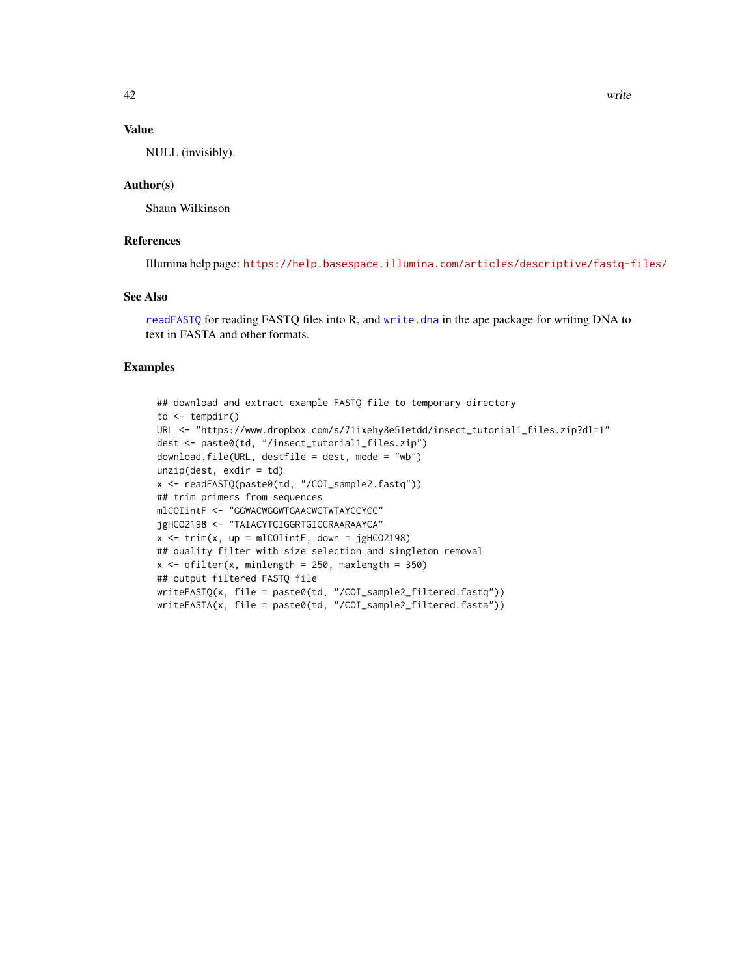# <span id="page-41-0"></span>Value

NULL (invisibly).

#### Author(s)

Shaun Wilkinson

# References

Illumina help page: <https://help.basespace.illumina.com/articles/descriptive/fastq-files/>

#### See Also

[readFASTQ](#page-26-1) for reading FASTQ files into R, and [write.dna](#page-0-0) in the ape package for writing DNA to text in FASTA and other formats.

# Examples

```
## download and extract example FASTQ file to temporary directory
td <- tempdir()
URL <- "https://www.dropbox.com/s/71ixehy8e51etdd/insect_tutorial1_files.zip?dl=1"
dest <- paste0(td, "/insect_tutorial1_files.zip")
download.file(URL, destfile = dest, mode = "wb")
unzip(dest, exdir = td)
x <- readFASTQ(paste0(td, "/COI_sample2.fastq"))
## trim primers from sequences
mlCOIintF <- "GGWACWGGWTGAACWGTWTAYCCYCC"
jgHCO2198 <- "TAIACYTCIGGRTGICCRAARAAYCA"
x \le -\text{trim}(x, \text{ up = mlColintF, down = jgHCO2198})## quality filter with size selection and singleton removal
x \leq - qfilter(x, minlength = 250, maxlength = 350)
## output filtered FASTQ file
writeFASTQ(x, file = paste0(td, "/COI_sample2_filtered.fastq"))
writeFASTA(x, file = paste0(td, "/COI_sample2_filtered.fasta"))
```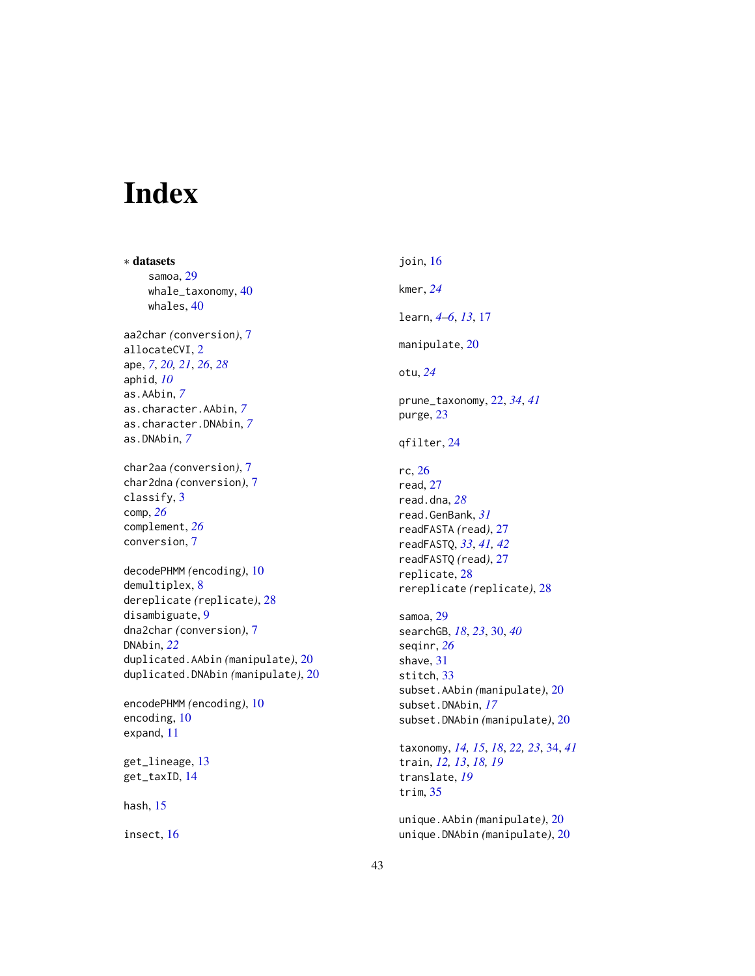# <span id="page-42-0"></span>Index

∗ datasets samoa, [29](#page-28-0) whale\_taxonomy, [40](#page-39-0) whales, [40](#page-39-0) aa2char *(*conversion*)*, [7](#page-6-0) allocateCVI, [2](#page-1-0) ape, *[7](#page-6-0)*, *[20,](#page-19-0) [21](#page-20-0)*, *[26](#page-25-0)*, *[28](#page-27-0)* aphid, *[10](#page-9-0)* as.AAbin, *[7](#page-6-0)* as.character.AAbin, *[7](#page-6-0)* as.character.DNAbin, *[7](#page-6-0)* as.DNAbin, *[7](#page-6-0)* char2aa *(*conversion*)*, [7](#page-6-0) char2dna *(*conversion*)*, [7](#page-6-0) classify, [3](#page-2-0) comp, *[26](#page-25-0)* complement, *[26](#page-25-0)* conversion, [7](#page-6-0) decodePHMM *(*encoding*)*, [10](#page-9-0) demultiplex, [8](#page-7-0) dereplicate *(*replicate*)*, [28](#page-27-0) disambiguate, [9](#page-8-0) dna2char *(*conversion*)*, [7](#page-6-0) DNAbin, *[22](#page-21-0)* duplicated.AAbin *(*manipulate*)*, [20](#page-19-0) duplicated.DNAbin *(*manipulate*)*, [20](#page-19-0) encodePHMM *(*encoding*)*, [10](#page-9-0) encoding, [10](#page-9-0) expand, [11](#page-10-0)

get\_lineage, [13](#page-12-0) get\_taxID, [14](#page-13-0)

hash, [15](#page-14-0)

insect, [16](#page-15-0)

join, [16](#page-15-0) kmer, *[24](#page-23-0)* learn, *[4–](#page-3-0)[6](#page-5-0)*, *[13](#page-12-0)*, [17](#page-16-0) manipulate, [20](#page-19-0) otu, *[24](#page-23-0)* prune\_taxonomy, [22,](#page-21-0) *[34](#page-33-0)*, *[41](#page-40-0)* purge, [23](#page-22-0) qfilter, [24](#page-23-0) rc, [26](#page-25-0) read, [27](#page-26-0) read.dna, *[28](#page-27-0)* read.GenBank, *[31](#page-30-0)* readFASTA *(*read*)*, [27](#page-26-0) readFASTQ, *[33](#page-32-0)*, *[41,](#page-40-0) [42](#page-41-0)* readFASTQ *(*read*)*, [27](#page-26-0) replicate, [28](#page-27-0) rereplicate *(*replicate*)*, [28](#page-27-0) samoa, [29](#page-28-0) searchGB, *[18](#page-17-0)*, *[23](#page-22-0)*, [30,](#page-29-0) *[40](#page-39-0)* seqinr, *[26](#page-25-0)* shave, [31](#page-30-0) stitch, [33](#page-32-0) subset.AAbin *(*manipulate*)*, [20](#page-19-0) subset.DNAbin, *[17](#page-16-0)* subset.DNAbin *(*manipulate*)*, [20](#page-19-0) taxonomy, *[14,](#page-13-0) [15](#page-14-0)*, *[18](#page-17-0)*, *[22,](#page-21-0) [23](#page-22-0)*, [34,](#page-33-0) *[41](#page-40-0)* train, *[12,](#page-11-0) [13](#page-12-0)*, *[18,](#page-17-0) [19](#page-18-0)* translate, *[19](#page-18-0)*

unique.AAbin *(*manipulate*)*, [20](#page-19-0) unique.DNAbin *(*manipulate*)*, [20](#page-19-0)

trim, [35](#page-34-0)